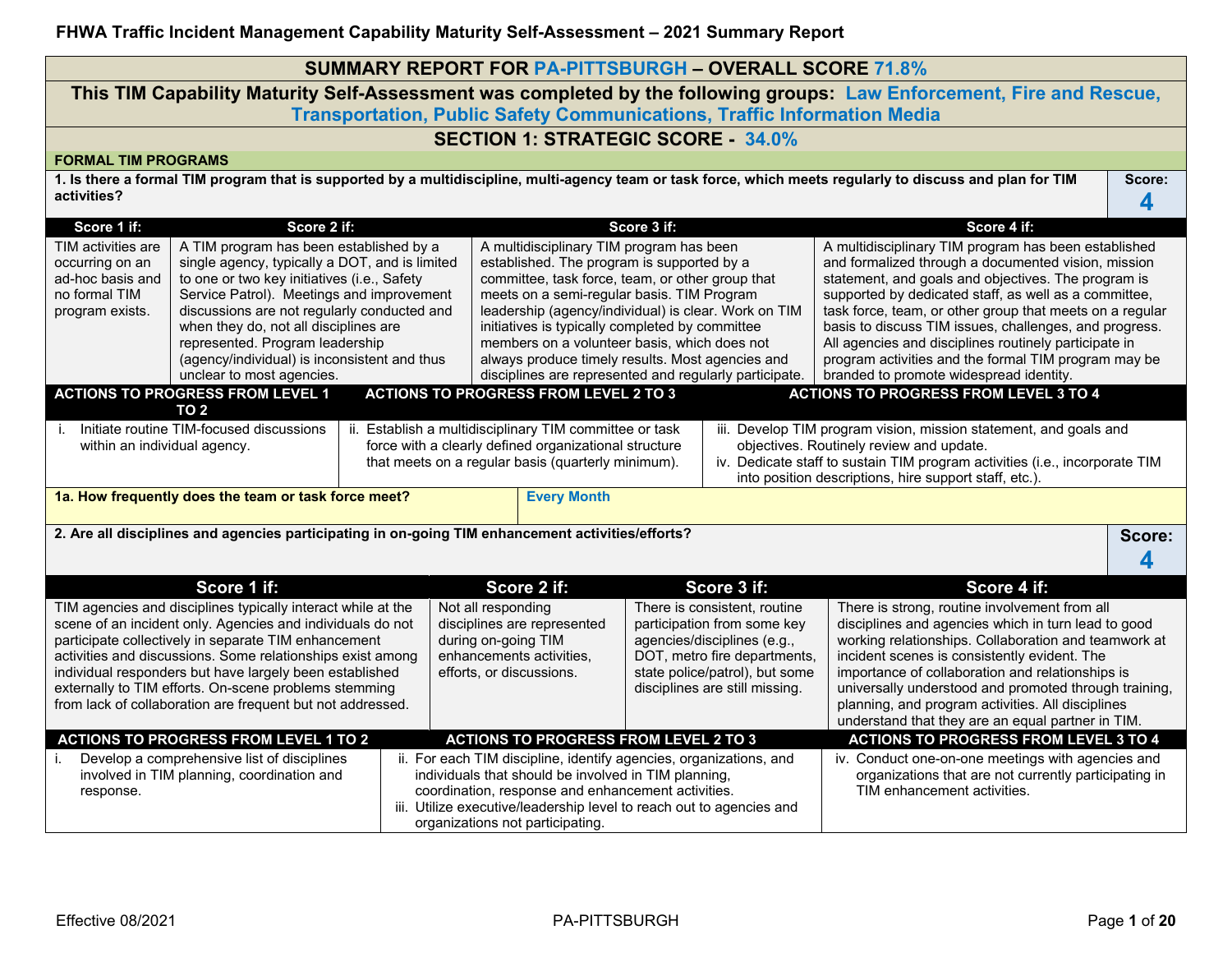|                                                                                                                                                                                                                                                                                                                                                                                                                                                                                                                                                                                                                                                                                                                                                                                                                                                                                                                                                                                                                                                                                                                                                                                                                                                                                                                                                                                                                                                                                                                                                                                                                                                                                                                                                                                                                                                                                                                                                                                       | <b>SUMMARY REPORT FOR PA-PITTSBURGH - OVERALL SCORE 71.8%</b>                                                                                                                                                                                                                                                                                                                                                                      |  |                                                                                                                                                                                                                                                                                              |             |                                                                                                                                                                                                |                                                                                                                                                                                                                                                                                                                                                                                                                                     |        |  |  |  |  |
|---------------------------------------------------------------------------------------------------------------------------------------------------------------------------------------------------------------------------------------------------------------------------------------------------------------------------------------------------------------------------------------------------------------------------------------------------------------------------------------------------------------------------------------------------------------------------------------------------------------------------------------------------------------------------------------------------------------------------------------------------------------------------------------------------------------------------------------------------------------------------------------------------------------------------------------------------------------------------------------------------------------------------------------------------------------------------------------------------------------------------------------------------------------------------------------------------------------------------------------------------------------------------------------------------------------------------------------------------------------------------------------------------------------------------------------------------------------------------------------------------------------------------------------------------------------------------------------------------------------------------------------------------------------------------------------------------------------------------------------------------------------------------------------------------------------------------------------------------------------------------------------------------------------------------------------------------------------------------------------|------------------------------------------------------------------------------------------------------------------------------------------------------------------------------------------------------------------------------------------------------------------------------------------------------------------------------------------------------------------------------------------------------------------------------------|--|----------------------------------------------------------------------------------------------------------------------------------------------------------------------------------------------------------------------------------------------------------------------------------------------|-------------|------------------------------------------------------------------------------------------------------------------------------------------------------------------------------------------------|-------------------------------------------------------------------------------------------------------------------------------------------------------------------------------------------------------------------------------------------------------------------------------------------------------------------------------------------------------------------------------------------------------------------------------------|--------|--|--|--|--|
|                                                                                                                                                                                                                                                                                                                                                                                                                                                                                                                                                                                                                                                                                                                                                                                                                                                                                                                                                                                                                                                                                                                                                                                                                                                                                                                                                                                                                                                                                                                                                                                                                                                                                                                                                                                                                                                                                                                                                                                       |                                                                                                                                                                                                                                                                                                                                                                                                                                    |  |                                                                                                                                                                                                                                                                                              |             |                                                                                                                                                                                                | This TIM Capability Maturity Self-Assessment was completed by the following groups: Law Enforcement, Fire and Rescue,                                                                                                                                                                                                                                                                                                               |        |  |  |  |  |
|                                                                                                                                                                                                                                                                                                                                                                                                                                                                                                                                                                                                                                                                                                                                                                                                                                                                                                                                                                                                                                                                                                                                                                                                                                                                                                                                                                                                                                                                                                                                                                                                                                                                                                                                                                                                                                                                                                                                                                                       |                                                                                                                                                                                                                                                                                                                                                                                                                                    |  | <b>Transportation, Public Safety Communications, Traffic Information Media</b>                                                                                                                                                                                                               |             |                                                                                                                                                                                                |                                                                                                                                                                                                                                                                                                                                                                                                                                     |        |  |  |  |  |
|                                                                                                                                                                                                                                                                                                                                                                                                                                                                                                                                                                                                                                                                                                                                                                                                                                                                                                                                                                                                                                                                                                                                                                                                                                                                                                                                                                                                                                                                                                                                                                                                                                                                                                                                                                                                                                                                                                                                                                                       | <b>SECTION 1: STRATEGIC SCORE - 34.0%</b><br><b>FORMAL TIM PROGRAMS</b>                                                                                                                                                                                                                                                                                                                                                            |  |                                                                                                                                                                                                                                                                                              |             |                                                                                                                                                                                                |                                                                                                                                                                                                                                                                                                                                                                                                                                     |        |  |  |  |  |
| activities?                                                                                                                                                                                                                                                                                                                                                                                                                                                                                                                                                                                                                                                                                                                                                                                                                                                                                                                                                                                                                                                                                                                                                                                                                                                                                                                                                                                                                                                                                                                                                                                                                                                                                                                                                                                                                                                                                                                                                                           |                                                                                                                                                                                                                                                                                                                                                                                                                                    |  |                                                                                                                                                                                                                                                                                              |             |                                                                                                                                                                                                | 1. Is there a formal TIM program that is supported by a multidiscipline, multi-agency team or task force, which meets regularly to discuss and plan for TIM                                                                                                                                                                                                                                                                         | Score: |  |  |  |  |
|                                                                                                                                                                                                                                                                                                                                                                                                                                                                                                                                                                                                                                                                                                                                                                                                                                                                                                                                                                                                                                                                                                                                                                                                                                                                                                                                                                                                                                                                                                                                                                                                                                                                                                                                                                                                                                                                                                                                                                                       |                                                                                                                                                                                                                                                                                                                                                                                                                                    |  |                                                                                                                                                                                                                                                                                              |             |                                                                                                                                                                                                |                                                                                                                                                                                                                                                                                                                                                                                                                                     | 4      |  |  |  |  |
| Score 1 if:<br>TIM activities are                                                                                                                                                                                                                                                                                                                                                                                                                                                                                                                                                                                                                                                                                                                                                                                                                                                                                                                                                                                                                                                                                                                                                                                                                                                                                                                                                                                                                                                                                                                                                                                                                                                                                                                                                                                                                                                                                                                                                     | Score 2 if:<br>A TIM program has been established by a                                                                                                                                                                                                                                                                                                                                                                             |  |                                                                                                                                                                                                                                                                                              | Score 3 if: |                                                                                                                                                                                                | Score 4 if:<br>A multidisciplinary TIM program has been established                                                                                                                                                                                                                                                                                                                                                                 |        |  |  |  |  |
| A multidisciplinary TIM program has been<br>established. The program is supported by a<br>and formalized through a documented vision, mission<br>single agency, typically a DOT, and is limited<br>occurring on an<br>to one or two key initiatives (i.e., Safety<br>committee, task force, team, or other group that<br>statement, and goals and objectives. The program is<br>ad-hoc basis and<br>Service Patrol). Meetings and improvement<br>meets on a semi-regular basis. TIM Program<br>supported by dedicated staff, as well as a committee,<br>no formal TIM<br>leadership (agency/individual) is clear. Work on TIM<br>discussions are not regularly conducted and<br>task force, team, or other group that meets on a regular<br>program exists.<br>basis to discuss TIM issues, challenges, and progress.<br>when they do, not all disciplines are<br>initiatives is typically completed by committee<br>represented. Program leadership<br>members on a volunteer basis, which does not<br>All agencies and disciplines routinely participate in<br>(agency/individual) is inconsistent and thus<br>always produce timely results. Most agencies and<br>program activities and the formal TIM program may be<br>unclear to most agencies.<br>disciplines are represented and regularly participate.<br>branded to promote widespread identity.<br><b>ACTIONS TO PROGRESS FROM LEVEL 1</b><br><b>ACTIONS TO PROGRESS FROM LEVEL 2 TO 3</b><br><b>ACTIONS TO PROGRESS FROM LEVEL 3 TO 4</b><br>TO <sub>2</sub><br>Initiate routine TIM-focused discussions<br>ii. Establish a multidisciplinary TIM committee or task<br>iii. Develop TIM program vision, mission statement, and goals and<br>i.<br>objectives. Routinely review and update.<br>force with a clearly defined organizational structure<br>within an individual agency.<br>that meets on a regular basis (quarterly minimum).<br>iv. Dedicate staff to sustain TIM program activities (i.e., incorporate TIM |                                                                                                                                                                                                                                                                                                                                                                                                                                    |  |                                                                                                                                                                                                                                                                                              |             |                                                                                                                                                                                                |                                                                                                                                                                                                                                                                                                                                                                                                                                     |        |  |  |  |  |
|                                                                                                                                                                                                                                                                                                                                                                                                                                                                                                                                                                                                                                                                                                                                                                                                                                                                                                                                                                                                                                                                                                                                                                                                                                                                                                                                                                                                                                                                                                                                                                                                                                                                                                                                                                                                                                                                                                                                                                                       | 1a. How frequently does the team or task force meet?                                                                                                                                                                                                                                                                                                                                                                               |  | <b>Every Month</b>                                                                                                                                                                                                                                                                           |             |                                                                                                                                                                                                | into position descriptions, hire support staff, etc.).                                                                                                                                                                                                                                                                                                                                                                              |        |  |  |  |  |
|                                                                                                                                                                                                                                                                                                                                                                                                                                                                                                                                                                                                                                                                                                                                                                                                                                                                                                                                                                                                                                                                                                                                                                                                                                                                                                                                                                                                                                                                                                                                                                                                                                                                                                                                                                                                                                                                                                                                                                                       | 2. Are all disciplines and agencies participating in on-going TIM enhancement activities/efforts?                                                                                                                                                                                                                                                                                                                                  |  |                                                                                                                                                                                                                                                                                              |             |                                                                                                                                                                                                |                                                                                                                                                                                                                                                                                                                                                                                                                                     | Score: |  |  |  |  |
|                                                                                                                                                                                                                                                                                                                                                                                                                                                                                                                                                                                                                                                                                                                                                                                                                                                                                                                                                                                                                                                                                                                                                                                                                                                                                                                                                                                                                                                                                                                                                                                                                                                                                                                                                                                                                                                                                                                                                                                       |                                                                                                                                                                                                                                                                                                                                                                                                                                    |  |                                                                                                                                                                                                                                                                                              |             |                                                                                                                                                                                                |                                                                                                                                                                                                                                                                                                                                                                                                                                     | 4      |  |  |  |  |
|                                                                                                                                                                                                                                                                                                                                                                                                                                                                                                                                                                                                                                                                                                                                                                                                                                                                                                                                                                                                                                                                                                                                                                                                                                                                                                                                                                                                                                                                                                                                                                                                                                                                                                                                                                                                                                                                                                                                                                                       | Score 1 if:                                                                                                                                                                                                                                                                                                                                                                                                                        |  | Score 2 if:                                                                                                                                                                                                                                                                                  |             | Score 3 if:                                                                                                                                                                                    | Score 4 if:                                                                                                                                                                                                                                                                                                                                                                                                                         |        |  |  |  |  |
|                                                                                                                                                                                                                                                                                                                                                                                                                                                                                                                                                                                                                                                                                                                                                                                                                                                                                                                                                                                                                                                                                                                                                                                                                                                                                                                                                                                                                                                                                                                                                                                                                                                                                                                                                                                                                                                                                                                                                                                       | TIM agencies and disciplines typically interact while at the<br>scene of an incident only. Agencies and individuals do not<br>participate collectively in separate TIM enhancement<br>activities and discussions. Some relationships exist among<br>individual responders but have largely been established<br>externally to TIM efforts. On-scene problems stemming<br>from lack of collaboration are frequent but not addressed. |  | Not all responding<br>disciplines are represented<br>during on-going TIM<br>enhancements activities,<br>efforts, or discussions.                                                                                                                                                             |             | There is consistent, routine<br>participation from some key<br>agencies/disciplines (e.g.,<br>DOT, metro fire departments,<br>state police/patrol), but some<br>disciplines are still missing. | There is strong, routine involvement from all<br>disciplines and agencies which in turn lead to good<br>working relationships. Collaboration and teamwork at<br>incident scenes is consistently evident. The<br>importance of collaboration and relationships is<br>universally understood and promoted through training,<br>planning, and program activities. All disciplines<br>understand that they are an equal partner in TIM. |        |  |  |  |  |
|                                                                                                                                                                                                                                                                                                                                                                                                                                                                                                                                                                                                                                                                                                                                                                                                                                                                                                                                                                                                                                                                                                                                                                                                                                                                                                                                                                                                                                                                                                                                                                                                                                                                                                                                                                                                                                                                                                                                                                                       | <b>ACTIONS TO PROGRESS FROM LEVEL 1 TO 2</b>                                                                                                                                                                                                                                                                                                                                                                                       |  | <b>ACTIONS TO PROGRESS FROM LEVEL 2 TO 3</b>                                                                                                                                                                                                                                                 |             |                                                                                                                                                                                                | <b>ACTIONS TO PROGRESS FROM LEVEL 3 TO 4</b>                                                                                                                                                                                                                                                                                                                                                                                        |        |  |  |  |  |
| response.                                                                                                                                                                                                                                                                                                                                                                                                                                                                                                                                                                                                                                                                                                                                                                                                                                                                                                                                                                                                                                                                                                                                                                                                                                                                                                                                                                                                                                                                                                                                                                                                                                                                                                                                                                                                                                                                                                                                                                             | Develop a comprehensive list of disciplines<br>involved in TIM planning, coordination and                                                                                                                                                                                                                                                                                                                                          |  | ii. For each TIM discipline, identify agencies, organizations, and<br>individuals that should be involved in TIM planning,<br>coordination, response and enhancement activities.<br>iii. Utilize executive/leadership level to reach out to agencies and<br>organizations not participating. |             |                                                                                                                                                                                                | iv. Conduct one-on-one meetings with agencies and<br>organizations that are not currently participating in<br>TIM enhancement activities.                                                                                                                                                                                                                                                                                           |        |  |  |  |  |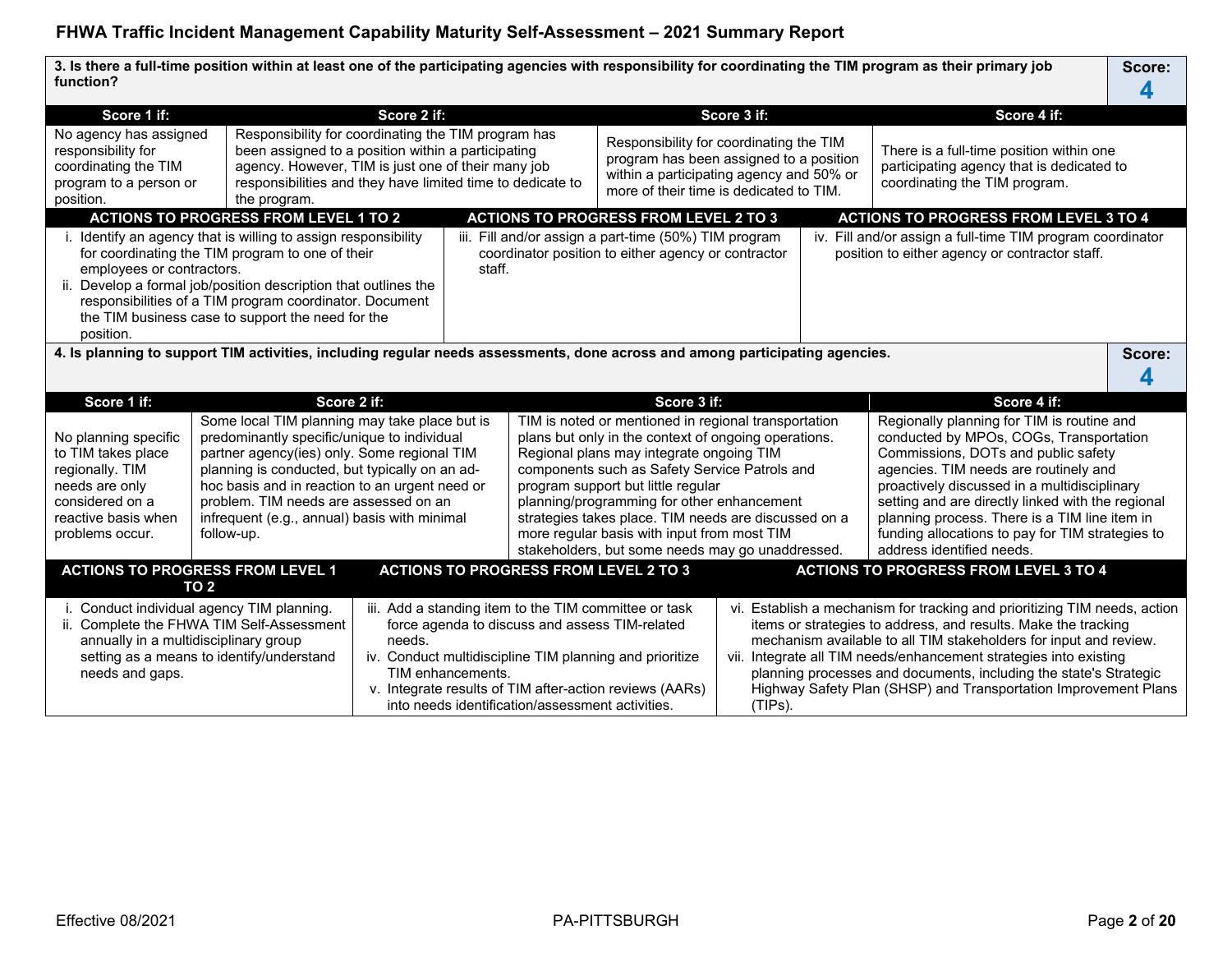**3. Is there a full-time position within at least one of the participating agencies with responsibility for coordinating the TIM program as their primary job function? Score: 4**

| Score 1 if:                                                                                                                                                                                                                                                                                                                                                                                                                                                                                            |                                                                                                                                                                                                                                                                                                       | Score 2 if:                                                                                                                                                                                                                   |        |                                                                                                                                                                                                                                                                                                                                                                                                                                                                                                                                                                                                                                                                                                                                                                                                                                                                          |                                                                                                                                                                                                                               | Score 3 if: |  | Score 4 if:                                                                                                                                                                                                                                                                                                                                                                                                                   |        |
|--------------------------------------------------------------------------------------------------------------------------------------------------------------------------------------------------------------------------------------------------------------------------------------------------------------------------------------------------------------------------------------------------------------------------------------------------------------------------------------------------------|-------------------------------------------------------------------------------------------------------------------------------------------------------------------------------------------------------------------------------------------------------------------------------------------------------|-------------------------------------------------------------------------------------------------------------------------------------------------------------------------------------------------------------------------------|--------|--------------------------------------------------------------------------------------------------------------------------------------------------------------------------------------------------------------------------------------------------------------------------------------------------------------------------------------------------------------------------------------------------------------------------------------------------------------------------------------------------------------------------------------------------------------------------------------------------------------------------------------------------------------------------------------------------------------------------------------------------------------------------------------------------------------------------------------------------------------------------|-------------------------------------------------------------------------------------------------------------------------------------------------------------------------------------------------------------------------------|-------------|--|-------------------------------------------------------------------------------------------------------------------------------------------------------------------------------------------------------------------------------------------------------------------------------------------------------------------------------------------------------------------------------------------------------------------------------|--------|
| No agency has assigned<br>responsibility for<br>coordinating the TIM<br>program to a person or<br>position.                                                                                                                                                                                                                                                                                                                                                                                            | the program.                                                                                                                                                                                                                                                                                          | Responsibility for coordinating the TIM program has<br>been assigned to a position within a participating<br>agency. However, TIM is just one of their many job<br>responsibilities and they have limited time to dedicate to |        |                                                                                                                                                                                                                                                                                                                                                                                                                                                                                                                                                                                                                                                                                                                                                                                                                                                                          | Responsibility for coordinating the TIM<br>program has been assigned to a position<br>within a participating agency and 50% or<br>more of their time is dedicated to TIM.                                                     |             |  | There is a full-time position within one<br>participating agency that is dedicated to<br>coordinating the TIM program.                                                                                                                                                                                                                                                                                                        |        |
|                                                                                                                                                                                                                                                                                                                                                                                                                                                                                                        | <b>ACTIONS TO PROGRESS FROM LEVEL 1 TO 2</b>                                                                                                                                                                                                                                                          |                                                                                                                                                                                                                               |        |                                                                                                                                                                                                                                                                                                                                                                                                                                                                                                                                                                                                                                                                                                                                                                                                                                                                          | <b>ACTIONS TO PROGRESS FROM LEVEL 2 TO 3</b>                                                                                                                                                                                  |             |  | <b>ACTIONS TO PROGRESS FROM LEVEL 3 TO 4</b>                                                                                                                                                                                                                                                                                                                                                                                  |        |
| employees or contractors.<br>position.                                                                                                                                                                                                                                                                                                                                                                                                                                                                 | i. Identify an agency that is willing to assign responsibility<br>for coordinating the TIM program to one of their<br>ii. Develop a formal job/position description that outlines the<br>responsibilities of a TIM program coordinator. Document<br>the TIM business case to support the need for the |                                                                                                                                                                                                                               | staff. |                                                                                                                                                                                                                                                                                                                                                                                                                                                                                                                                                                                                                                                                                                                                                                                                                                                                          | iii. Fill and/or assign a part-time (50%) TIM program<br>coordinator position to either agency or contractor                                                                                                                  |             |  | iv. Fill and/or assign a full-time TIM program coordinator<br>position to either agency or contractor staff.                                                                                                                                                                                                                                                                                                                  |        |
|                                                                                                                                                                                                                                                                                                                                                                                                                                                                                                        | 4. Is planning to support TIM activities, including regular needs assessments, done across and among participating agencies.                                                                                                                                                                          |                                                                                                                                                                                                                               |        |                                                                                                                                                                                                                                                                                                                                                                                                                                                                                                                                                                                                                                                                                                                                                                                                                                                                          |                                                                                                                                                                                                                               |             |  |                                                                                                                                                                                                                                                                                                                                                                                                                               | Score: |
|                                                                                                                                                                                                                                                                                                                                                                                                                                                                                                        |                                                                                                                                                                                                                                                                                                       |                                                                                                                                                                                                                               |        |                                                                                                                                                                                                                                                                                                                                                                                                                                                                                                                                                                                                                                                                                                                                                                                                                                                                          |                                                                                                                                                                                                                               |             |  |                                                                                                                                                                                                                                                                                                                                                                                                                               |        |
| Score 1 if:                                                                                                                                                                                                                                                                                                                                                                                                                                                                                            | Score 2 if:                                                                                                                                                                                                                                                                                           |                                                                                                                                                                                                                               |        |                                                                                                                                                                                                                                                                                                                                                                                                                                                                                                                                                                                                                                                                                                                                                                                                                                                                          | Score 3 if:                                                                                                                                                                                                                   |             |  | Score 4 if:                                                                                                                                                                                                                                                                                                                                                                                                                   |        |
| Some local TIM planning may take place but is<br>predominantly specific/unique to individual<br>No planning specific<br>to TIM takes place<br>partner agency(ies) only. Some regional TIM<br>regionally. TIM<br>planning is conducted, but typically on an ad-<br>needs are only<br>hoc basis and in reaction to an urgent need or<br>considered on a<br>problem. TIM needs are assessed on an<br>reactive basis when<br>infrequent (e.g., annual) basis with minimal<br>problems occur.<br>follow-up. |                                                                                                                                                                                                                                                                                                       |                                                                                                                                                                                                                               |        | TIM is noted or mentioned in regional transportation<br>Regionally planning for TIM is routine and<br>plans but only in the context of ongoing operations.<br>conducted by MPOs, COGs, Transportation<br>Commissions, DOTs and public safety<br>Regional plans may integrate ongoing TIM<br>components such as Safety Service Patrols and<br>agencies. TIM needs are routinely and<br>program support but little regular<br>proactively discussed in a multidisciplinary<br>planning/programming for other enhancement<br>setting and are directly linked with the regional<br>strategies takes place. TIM needs are discussed on a<br>planning process. There is a TIM line item in<br>more regular basis with input from most TIM<br>funding allocations to pay for TIM strategies to<br>stakeholders, but some needs may go unaddressed.<br>address identified needs. |                                                                                                                                                                                                                               |             |  |                                                                                                                                                                                                                                                                                                                                                                                                                               |        |
|                                                                                                                                                                                                                                                                                                                                                                                                                                                                                                        | <b>ACTIONS TO PROGRESS FROM LEVEL 1</b><br><b>TO 2</b>                                                                                                                                                                                                                                                |                                                                                                                                                                                                                               |        |                                                                                                                                                                                                                                                                                                                                                                                                                                                                                                                                                                                                                                                                                                                                                                                                                                                                          | <b>ACTIONS TO PROGRESS FROM LEVEL 2 TO 3</b>                                                                                                                                                                                  |             |  | <b>ACTIONS TO PROGRESS FROM LEVEL 3 TO 4</b>                                                                                                                                                                                                                                                                                                                                                                                  |        |
| annually in a multidisciplinary group<br>needs and gaps.                                                                                                                                                                                                                                                                                                                                                                                                                                               | i. Conduct individual agency TIM planning.<br>ii. Complete the FHWA TIM Self-Assessment<br>setting as a means to identify/understand                                                                                                                                                                  | needs.<br>TIM enhancements.                                                                                                                                                                                                   |        | into needs identification/assessment activities.                                                                                                                                                                                                                                                                                                                                                                                                                                                                                                                                                                                                                                                                                                                                                                                                                         | iii. Add a standing item to the TIM committee or task<br>force agenda to discuss and assess TIM-related<br>iv. Conduct multidiscipline TIM planning and prioritize<br>v. Integrate results of TIM after-action reviews (AARs) | (TIPs).     |  | vi. Establish a mechanism for tracking and prioritizing TIM needs, action<br>items or strategies to address, and results. Make the tracking<br>mechanism available to all TIM stakeholders for input and review.<br>vii. Integrate all TIM needs/enhancement strategies into existing<br>planning processes and documents, including the state's Strategic<br>Highway Safety Plan (SHSP) and Transportation Improvement Plans |        |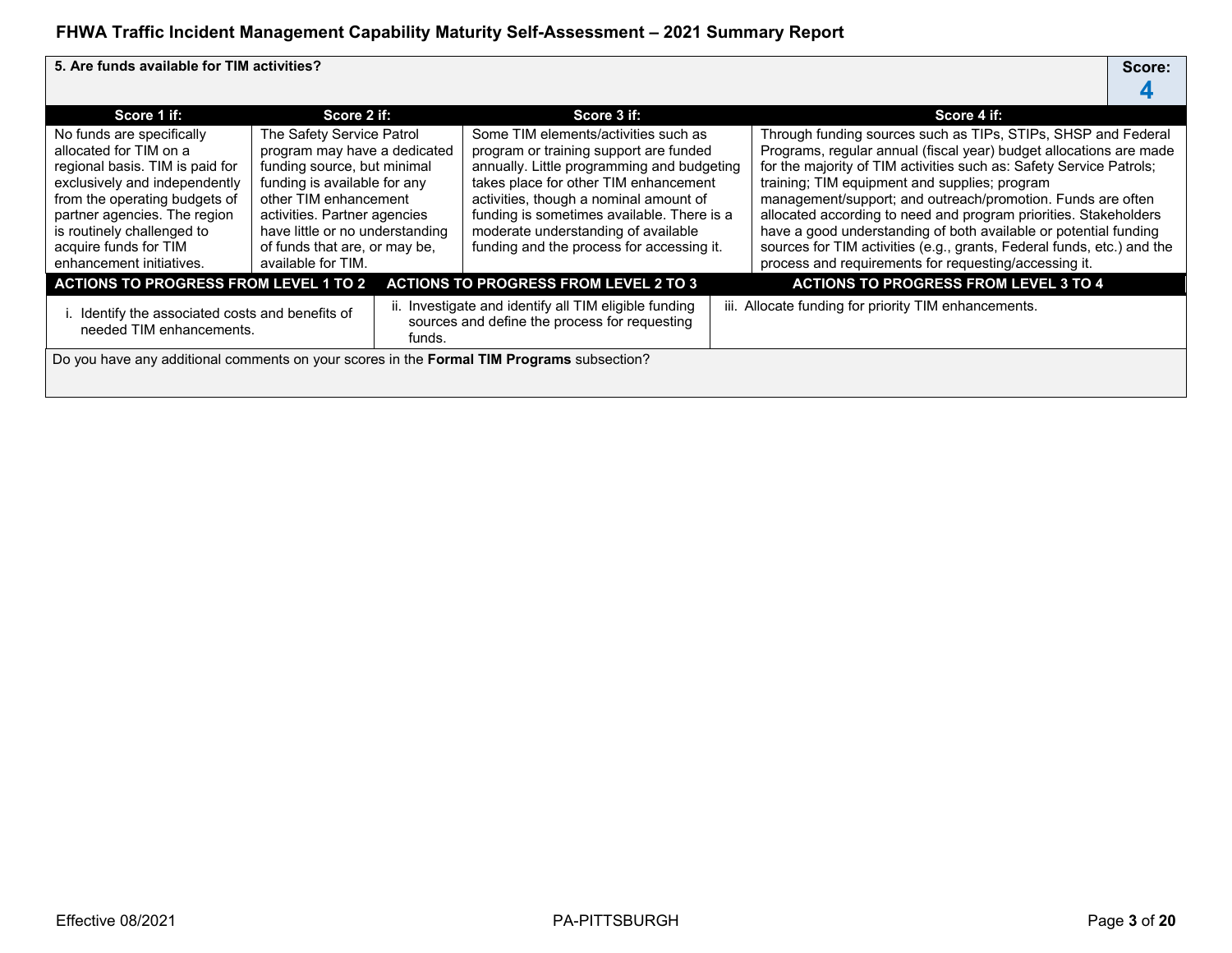**5. Are funds available for TIM activities? Score:**

| Score 1 if:                                                                                                                                                                                                                                                                 | Score 2 if:                                                                                                                                                                                                                                                                 |  | Score 3 if:                                                                                                                                                                                                                                                                                                                                       |  | Score 4 if:                                                                                                                                                                                                                                                                                                                                                                                                                                                                                                                                                                                           |  |  |  |  |
|-----------------------------------------------------------------------------------------------------------------------------------------------------------------------------------------------------------------------------------------------------------------------------|-----------------------------------------------------------------------------------------------------------------------------------------------------------------------------------------------------------------------------------------------------------------------------|--|---------------------------------------------------------------------------------------------------------------------------------------------------------------------------------------------------------------------------------------------------------------------------------------------------------------------------------------------------|--|-------------------------------------------------------------------------------------------------------------------------------------------------------------------------------------------------------------------------------------------------------------------------------------------------------------------------------------------------------------------------------------------------------------------------------------------------------------------------------------------------------------------------------------------------------------------------------------------------------|--|--|--|--|
| No funds are specifically<br>allocated for TIM on a<br>regional basis. TIM is paid for<br>exclusively and independently<br>from the operating budgets of<br>partner agencies. The region<br>is routinely challenged to<br>acquire funds for TIM<br>enhancement initiatives. | The Safety Service Patrol<br>program may have a dedicated<br>funding source, but minimal<br>funding is available for any<br>other TIM enhancement<br>activities. Partner agencies<br>have little or no understanding<br>of funds that are, or may be,<br>available for TIM. |  | Some TIM elements/activities such as<br>program or training support are funded<br>annually. Little programming and budgeting<br>takes place for other TIM enhancement<br>activities, though a nominal amount of<br>funding is sometimes available. There is a<br>moderate understanding of available<br>funding and the process for accessing it. |  | Through funding sources such as TIPs, STIPs, SHSP and Federal<br>Programs, regular annual (fiscal year) budget allocations are made<br>for the majority of TIM activities such as: Safety Service Patrols;<br>training; TIM equipment and supplies; program<br>management/support; and outreach/promotion. Funds are often<br>allocated according to need and program priorities. Stakeholders<br>have a good understanding of both available or potential funding<br>sources for TIM activities (e.g., grants, Federal funds, etc.) and the<br>process and requirements for requesting/accessing it. |  |  |  |  |
| <b>ACTIONS TO PROGRESS FROM LEVEL 1 TO 2</b>                                                                                                                                                                                                                                |                                                                                                                                                                                                                                                                             |  | <b>ACTIONS TO PROGRESS FROM LEVEL 2 TO 3</b>                                                                                                                                                                                                                                                                                                      |  | <b>ACTIONS TO PROGRESS FROM LEVEL 3 TO 4</b>                                                                                                                                                                                                                                                                                                                                                                                                                                                                                                                                                          |  |  |  |  |
| i. Identify the associated costs and benefits of<br>needed TIM enhancements.<br>funds.                                                                                                                                                                                      |                                                                                                                                                                                                                                                                             |  | ii. Investigate and identify all TIM eligible funding<br>sources and define the process for requesting                                                                                                                                                                                                                                            |  | iii. Allocate funding for priority TIM enhancements.                                                                                                                                                                                                                                                                                                                                                                                                                                                                                                                                                  |  |  |  |  |
|                                                                                                                                                                                                                                                                             | Do you have any additional comments on your scores in the Formal TIM Programs subsection?                                                                                                                                                                                   |  |                                                                                                                                                                                                                                                                                                                                                   |  |                                                                                                                                                                                                                                                                                                                                                                                                                                                                                                                                                                                                       |  |  |  |  |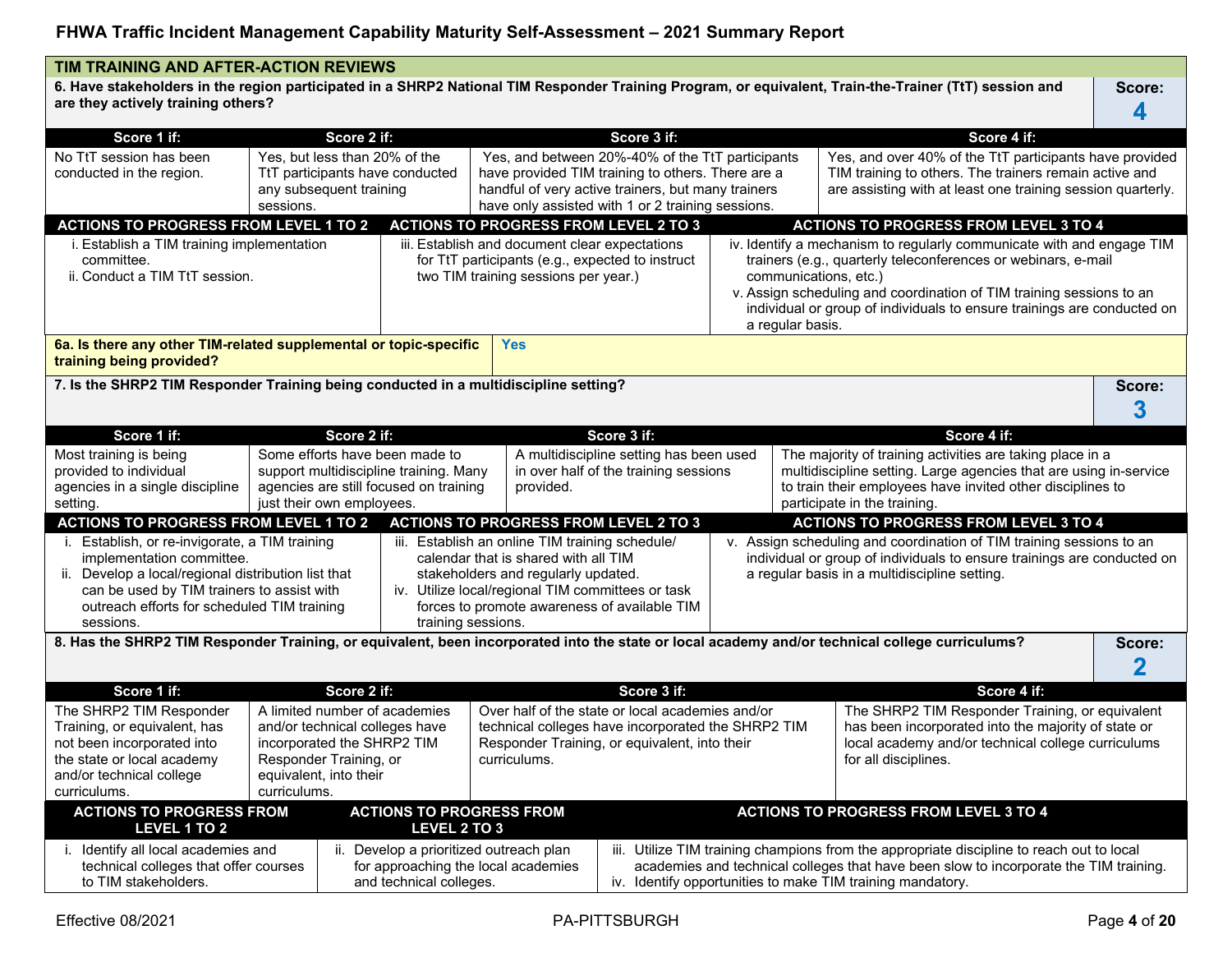**6. Have stakeholders in the region participated in a SHRP2 National TIM Responder Training Program, or equivalent, Train-the-Trainer (TtT) session and are they actively training others? Score:**

| Score 1 if:                                                                                                                                                                                                                                                                                                                                                                        | Score 2 if:                                                                                                                                                                                                                                                                                                                                  |                                                                                                                                                                                                                                                                                                  |                                                                                                                                                                                                                  | Score 3 if: |                                                                                                                                                                                      |                                                                                                                                                                                                                                                                                                                                                                                                                                                                                  | Score 4 if:                                                                                                                                                                                                                                                                               |                                   |
|------------------------------------------------------------------------------------------------------------------------------------------------------------------------------------------------------------------------------------------------------------------------------------------------------------------------------------------------------------------------------------|----------------------------------------------------------------------------------------------------------------------------------------------------------------------------------------------------------------------------------------------------------------------------------------------------------------------------------------------|--------------------------------------------------------------------------------------------------------------------------------------------------------------------------------------------------------------------------------------------------------------------------------------------------|------------------------------------------------------------------------------------------------------------------------------------------------------------------------------------------------------------------|-------------|--------------------------------------------------------------------------------------------------------------------------------------------------------------------------------------|----------------------------------------------------------------------------------------------------------------------------------------------------------------------------------------------------------------------------------------------------------------------------------------------------------------------------------------------------------------------------------------------------------------------------------------------------------------------------------|-------------------------------------------------------------------------------------------------------------------------------------------------------------------------------------------------------------------------------------------------------------------------------------------|-----------------------------------|
| No TtT session has been<br>conducted in the region.                                                                                                                                                                                                                                                                                                                                | Yes, but less than 20% of the<br>TtT participants have conducted<br>any subsequent training<br>sessions.                                                                                                                                                                                                                                     |                                                                                                                                                                                                                                                                                                  | Yes, and between 20%-40% of the TtT participants<br>have provided TIM training to others. There are a<br>handful of very active trainers, but many trainers<br>have only assisted with 1 or 2 training sessions. |             |                                                                                                                                                                                      |                                                                                                                                                                                                                                                                                                                                                                                                                                                                                  | Yes, and over 40% of the TtT participants have provided<br>TIM training to others. The trainers remain active and<br>are assisting with at least one training session quarterly.                                                                                                          |                                   |
| <b>ACTIONS TO PROGRESS FROM LEVEL 1 TO 2</b>                                                                                                                                                                                                                                                                                                                                       |                                                                                                                                                                                                                                                                                                                                              |                                                                                                                                                                                                                                                                                                  | <b>ACTIONS TO PROGRESS FROM LEVEL 2 TO 3</b>                                                                                                                                                                     |             |                                                                                                                                                                                      |                                                                                                                                                                                                                                                                                                                                                                                                                                                                                  | <b>ACTIONS TO PROGRESS FROM LEVEL 3 TO 4</b>                                                                                                                                                                                                                                              |                                   |
| i. Establish a TIM training implementation<br>committee.<br>ii. Conduct a TIM TtT session.                                                                                                                                                                                                                                                                                         |                                                                                                                                                                                                                                                                                                                                              |                                                                                                                                                                                                                                                                                                  | iii. Establish and document clear expectations<br>for TtT participants (e.g., expected to instruct<br>two TIM training sessions per year.)                                                                       |             |                                                                                                                                                                                      | communications, etc.)<br>a regular basis.                                                                                                                                                                                                                                                                                                                                                                                                                                        | iv. Identify a mechanism to regularly communicate with and engage TIM<br>trainers (e.g., quarterly teleconferences or webinars, e-mail<br>v. Assign scheduling and coordination of TIM training sessions to an<br>individual or group of individuals to ensure trainings are conducted on |                                   |
| 6a. Is there any other TIM-related supplemental or topic-specific<br>training being provided?                                                                                                                                                                                                                                                                                      |                                                                                                                                                                                                                                                                                                                                              |                                                                                                                                                                                                                                                                                                  | <b>Yes</b>                                                                                                                                                                                                       |             |                                                                                                                                                                                      |                                                                                                                                                                                                                                                                                                                                                                                                                                                                                  |                                                                                                                                                                                                                                                                                           |                                   |
| 7. Is the SHRP2 TIM Responder Training being conducted in a multidiscipline setting?                                                                                                                                                                                                                                                                                               |                                                                                                                                                                                                                                                                                                                                              |                                                                                                                                                                                                                                                                                                  |                                                                                                                                                                                                                  |             |                                                                                                                                                                                      |                                                                                                                                                                                                                                                                                                                                                                                                                                                                                  |                                                                                                                                                                                                                                                                                           | Score:<br>3                       |
| Score 1 if:                                                                                                                                                                                                                                                                                                                                                                        | Score 2 if:                                                                                                                                                                                                                                                                                                                                  |                                                                                                                                                                                                                                                                                                  |                                                                                                                                                                                                                  | Score 3 if: |                                                                                                                                                                                      |                                                                                                                                                                                                                                                                                                                                                                                                                                                                                  | Score 4 if:                                                                                                                                                                                                                                                                               |                                   |
| Most training is being<br>provided to individual<br>agencies in a single discipline<br>setting.<br><b>ACTIONS TO PROGRESS FROM LEVEL 1 TO 2</b><br>i. Establish, or re-invigorate, a TIM training<br>implementation committee.<br>ii. Develop a local/regional distribution list that<br>can be used by TIM trainers to assist with<br>outreach efforts for scheduled TIM training | Some efforts have been made to<br>support multidiscipline training. Many<br>agencies are still focused on training<br>just their own employees.                                                                                                                                                                                              | provided.<br><b>ACTIONS TO PROGRESS FROM LEVEL 2 TO 3</b><br>iii. Establish an online TIM training schedule/<br>calendar that is shared with all TIM<br>stakeholders and regularly updated.<br>iv. Utilize local/regional TIM committees or task<br>forces to promote awareness of available TIM | A multidiscipline setting has been used<br>in over half of the training sessions                                                                                                                                 |             |                                                                                                                                                                                      | The majority of training activities are taking place in a<br>multidiscipline setting. Large agencies that are using in-service<br>to train their employees have invited other disciplines to<br>participate in the training.<br><b>ACTIONS TO PROGRESS FROM LEVEL 3 TO 4</b><br>v. Assign scheduling and coordination of TIM training sessions to an<br>individual or group of individuals to ensure trainings are conducted on<br>a regular basis in a multidiscipline setting. |                                                                                                                                                                                                                                                                                           |                                   |
| sessions.<br>8. Has the SHRP2 TIM Responder Training, or equivalent, been incorporated into the state or local academy and/or technical college curriculums?                                                                                                                                                                                                                       |                                                                                                                                                                                                                                                                                                                                              | training sessions.                                                                                                                                                                                                                                                                               |                                                                                                                                                                                                                  |             |                                                                                                                                                                                      |                                                                                                                                                                                                                                                                                                                                                                                                                                                                                  |                                                                                                                                                                                                                                                                                           | Score:<br>$\overline{\mathbf{2}}$ |
| Score 1 if:                                                                                                                                                                                                                                                                                                                                                                        | Score 2 if:                                                                                                                                                                                                                                                                                                                                  |                                                                                                                                                                                                                                                                                                  |                                                                                                                                                                                                                  | Score 3 if: |                                                                                                                                                                                      |                                                                                                                                                                                                                                                                                                                                                                                                                                                                                  | Score 4 if:                                                                                                                                                                                                                                                                               |                                   |
| The SHRP2 TIM Responder<br>Training, or equivalent, has<br>not been incorporated into<br>the state or local academy<br>and/or technical college<br>curriculums.                                                                                                                                                                                                                    | A limited number of academies<br>Over half of the state or local academies and/or<br>technical colleges have incorporated the SHRP2 TIM<br>and/or technical colleges have<br>incorporated the SHRP2 TIM<br>Responder Training, or equivalent, into their<br>Responder Training, or<br>curriculums.<br>equivalent, into their<br>curriculums. |                                                                                                                                                                                                                                                                                                  |                                                                                                                                                                                                                  |             | The SHRP2 TIM Responder Training, or equivalent<br>has been incorporated into the majority of state or<br>local academy and/or technical college curriculums<br>for all disciplines. |                                                                                                                                                                                                                                                                                                                                                                                                                                                                                  |                                                                                                                                                                                                                                                                                           |                                   |
| <b>ACTIONS TO PROGRESS FROM</b><br>LEVEL 1 TO 2                                                                                                                                                                                                                                                                                                                                    |                                                                                                                                                                                                                                                                                                                                              | <b>ACTIONS TO PROGRESS FROM</b><br>LEVEL 2 TO 3                                                                                                                                                                                                                                                  |                                                                                                                                                                                                                  |             |                                                                                                                                                                                      |                                                                                                                                                                                                                                                                                                                                                                                                                                                                                  | <b>ACTIONS TO PROGRESS FROM LEVEL 3 TO 4</b>                                                                                                                                                                                                                                              |                                   |
| i. Identify all local academies and<br>technical colleges that offer courses<br>to TIM stakeholders.                                                                                                                                                                                                                                                                               |                                                                                                                                                                                                                                                                                                                                              | ii. Develop a prioritized outreach plan<br>for approaching the local academies<br>and technical colleges.                                                                                                                                                                                        |                                                                                                                                                                                                                  |             |                                                                                                                                                                                      |                                                                                                                                                                                                                                                                                                                                                                                                                                                                                  | iii. Utilize TIM training champions from the appropriate discipline to reach out to local<br>academies and technical colleges that have been slow to incorporate the TIM training.<br>iv. Identify opportunities to make TIM training mandatory.                                          |                                   |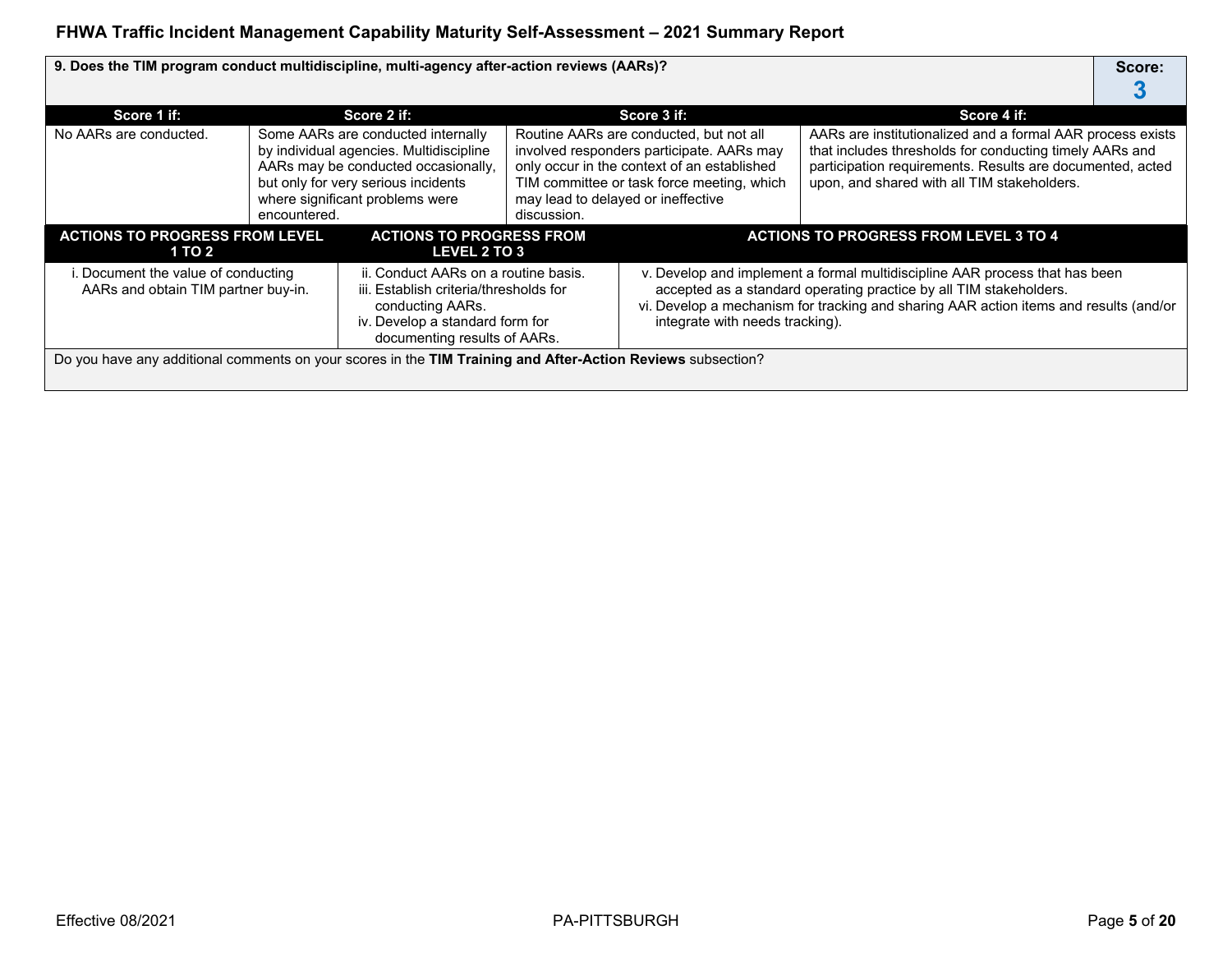| 9. Does the TIM program conduct multidiscipline, multi-agency after-action reviews (AARs)?                  |                                                                                                                                                                       |                                                                                                                                                                                                |                                                                                                                                                                                                                                                                               |                                                                                                                                                                                                                         |                                                                                                                                                                                                                                   | Score: |
|-------------------------------------------------------------------------------------------------------------|-----------------------------------------------------------------------------------------------------------------------------------------------------------------------|------------------------------------------------------------------------------------------------------------------------------------------------------------------------------------------------|-------------------------------------------------------------------------------------------------------------------------------------------------------------------------------------------------------------------------------------------------------------------------------|-------------------------------------------------------------------------------------------------------------------------------------------------------------------------------------------------------------------------|-----------------------------------------------------------------------------------------------------------------------------------------------------------------------------------------------------------------------------------|--------|
| Score 1 if:                                                                                                 |                                                                                                                                                                       | Score 2 if:                                                                                                                                                                                    |                                                                                                                                                                                                                                                                               | Score 3 if:                                                                                                                                                                                                             | Score 4 if:                                                                                                                                                                                                                       |        |
| No AARs are conducted.                                                                                      | encountered.                                                                                                                                                          | Some AARs are conducted internally<br>by individual agencies. Multidiscipline<br>AARs may be conducted occasionally,<br>but only for very serious incidents<br>where significant problems were | discussion.                                                                                                                                                                                                                                                                   | Routine AARs are conducted, but not all<br>involved responders participate. AARs may<br>only occur in the context of an established<br>TIM committee or task force meeting, which<br>may lead to delayed or ineffective | AARs are institutionalized and a formal AAR process exists<br>that includes thresholds for conducting timely AARs and<br>participation requirements. Results are documented, acted<br>upon, and shared with all TIM stakeholders. |        |
| <b>ACTIONS TO PROGRESS FROM LEVEL</b><br>1 TO 2                                                             |                                                                                                                                                                       | <b>ACTIONS TO PROGRESS FROM</b><br>LEVEL 2 TO 3                                                                                                                                                | <b>ACTIONS TO PROGRESS FROM LEVEL 3 TO 4</b>                                                                                                                                                                                                                                  |                                                                                                                                                                                                                         |                                                                                                                                                                                                                                   |        |
| . Document the value of conducting<br>AARs and obtain TIM partner buy-in.                                   | ii. Conduct AARs on a routine basis.<br>iii. Establish criteria/thresholds for<br>conducting AARs.<br>iv. Develop a standard form for<br>documenting results of AARs. |                                                                                                                                                                                                | v. Develop and implement a formal multidiscipline AAR process that has been<br>accepted as a standard operating practice by all TIM stakeholders.<br>vi. Develop a mechanism for tracking and sharing AAR action items and results (and/or<br>integrate with needs tracking). |                                                                                                                                                                                                                         |                                                                                                                                                                                                                                   |        |
| Do you have any additional comments on your scores in the TIM Training and After-Action Reviews subsection? |                                                                                                                                                                       |                                                                                                                                                                                                |                                                                                                                                                                                                                                                                               |                                                                                                                                                                                                                         |                                                                                                                                                                                                                                   |        |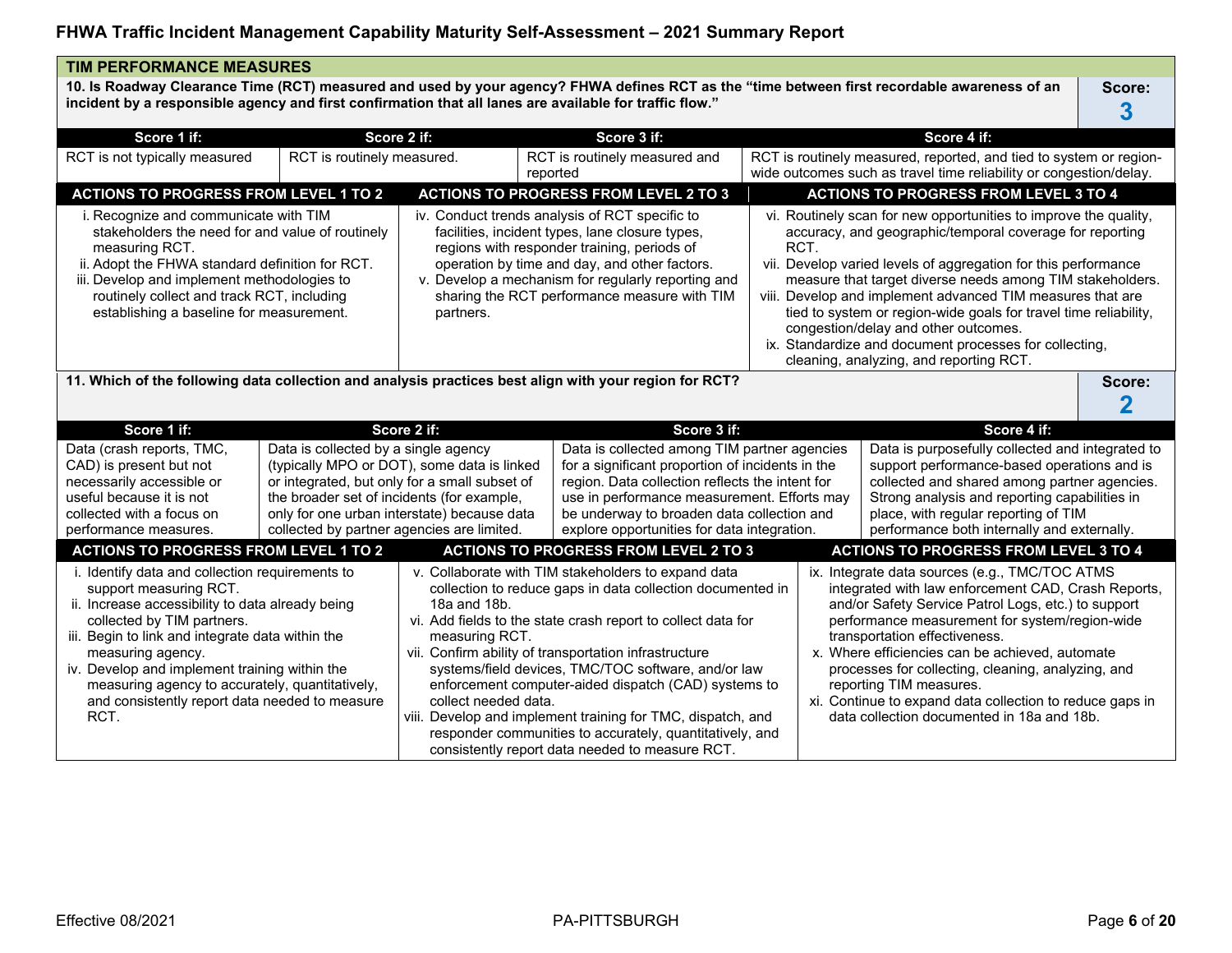| <b>TIM PERFORMANCE MEASURES</b>                                                                                                                                                                                                                                                                                                                                                                    |                                                                                                                                  |                                                                                                                                             |                                                                                                                                                                                                                                                                                                                                                                                                                                                                                                                                         |      |                                                                                                                                                                                                                                                                                         |                                                                                                                                                                                                                                                                                                                                                                                                                                                                                                                                            |             |
|----------------------------------------------------------------------------------------------------------------------------------------------------------------------------------------------------------------------------------------------------------------------------------------------------------------------------------------------------------------------------------------------------|----------------------------------------------------------------------------------------------------------------------------------|---------------------------------------------------------------------------------------------------------------------------------------------|-----------------------------------------------------------------------------------------------------------------------------------------------------------------------------------------------------------------------------------------------------------------------------------------------------------------------------------------------------------------------------------------------------------------------------------------------------------------------------------------------------------------------------------------|------|-----------------------------------------------------------------------------------------------------------------------------------------------------------------------------------------------------------------------------------------------------------------------------------------|--------------------------------------------------------------------------------------------------------------------------------------------------------------------------------------------------------------------------------------------------------------------------------------------------------------------------------------------------------------------------------------------------------------------------------------------------------------------------------------------------------------------------------------------|-------------|
| incident by a responsible agency and first confirmation that all lanes are available for traffic flow."                                                                                                                                                                                                                                                                                            |                                                                                                                                  |                                                                                                                                             | 10. Is Roadway Clearance Time (RCT) measured and used by your agency? FHWA defines RCT as the "time between first recordable awareness of an                                                                                                                                                                                                                                                                                                                                                                                            |      |                                                                                                                                                                                                                                                                                         |                                                                                                                                                                                                                                                                                                                                                                                                                                                                                                                                            | Score:<br>3 |
| Score 1 if:                                                                                                                                                                                                                                                                                                                                                                                        |                                                                                                                                  | Score 2 if:                                                                                                                                 | Score 3 if:                                                                                                                                                                                                                                                                                                                                                                                                                                                                                                                             |      |                                                                                                                                                                                                                                                                                         | Score 4 if:                                                                                                                                                                                                                                                                                                                                                                                                                                                                                                                                |             |
| RCT is not typically measured                                                                                                                                                                                                                                                                                                                                                                      | RCT is routinely measured.                                                                                                       |                                                                                                                                             | RCT is routinely measured and<br>reported                                                                                                                                                                                                                                                                                                                                                                                                                                                                                               |      | RCT is routinely measured, reported, and tied to system or region-<br>wide outcomes such as travel time reliability or congestion/delay.                                                                                                                                                |                                                                                                                                                                                                                                                                                                                                                                                                                                                                                                                                            |             |
| <b>ACTIONS TO PROGRESS FROM LEVEL 1 TO 2</b>                                                                                                                                                                                                                                                                                                                                                       |                                                                                                                                  |                                                                                                                                             | <b>ACTIONS TO PROGRESS FROM LEVEL 2 TO 3</b>                                                                                                                                                                                                                                                                                                                                                                                                                                                                                            |      |                                                                                                                                                                                                                                                                                         | <b>ACTIONS TO PROGRESS FROM LEVEL 3 TO 4</b>                                                                                                                                                                                                                                                                                                                                                                                                                                                                                               |             |
| i. Recognize and communicate with TIM<br>stakeholders the need for and value of routinely<br>measuring RCT.<br>ii. Adopt the FHWA standard definition for RCT.<br>iii. Develop and implement methodologies to<br>routinely collect and track RCT, including<br>establishing a baseline for measurement.<br>partners.                                                                               |                                                                                                                                  |                                                                                                                                             | iv. Conduct trends analysis of RCT specific to<br>facilities, incident types, lane closure types,<br>regions with responder training, periods of<br>operation by time and day, and other factors.<br>v. Develop a mechanism for regularly reporting and<br>sharing the RCT performance measure with TIM                                                                                                                                                                                                                                 | RCT. |                                                                                                                                                                                                                                                                                         | vi. Routinely scan for new opportunities to improve the quality,<br>accuracy, and geographic/temporal coverage for reporting<br>vii. Develop varied levels of aggregation for this performance<br>measure that target diverse needs among TIM stakeholders.<br>viii. Develop and implement advanced TIM measures that are<br>tied to system or region-wide goals for travel time reliability,<br>congestion/delay and other outcomes.<br>ix. Standardize and document processes for collecting,<br>cleaning, analyzing, and reporting RCT. |             |
| 11. Which of the following data collection and analysis practices best align with your region for RCT?<br>Score:                                                                                                                                                                                                                                                                                   |                                                                                                                                  |                                                                                                                                             |                                                                                                                                                                                                                                                                                                                                                                                                                                                                                                                                         |      |                                                                                                                                                                                                                                                                                         |                                                                                                                                                                                                                                                                                                                                                                                                                                                                                                                                            |             |
| Score 1 if:                                                                                                                                                                                                                                                                                                                                                                                        |                                                                                                                                  | Score 2 if:                                                                                                                                 | Score 3 if:                                                                                                                                                                                                                                                                                                                                                                                                                                                                                                                             |      |                                                                                                                                                                                                                                                                                         | Score 4 if:                                                                                                                                                                                                                                                                                                                                                                                                                                                                                                                                |             |
| Data (crash reports, TMC,<br>CAD) is present but not<br>necessarily accessible or<br>useful because it is not<br>collected with a focus on<br>performance measures.                                                                                                                                                                                                                                | Data is collected by a single agency<br>the broader set of incidents (for example,<br>collected by partner agencies are limited. | (typically MPO or DOT), some data is linked<br>or integrated, but only for a small subset of<br>only for one urban interstate) because data | Data is collected among TIM partner agencies<br>for a significant proportion of incidents in the<br>region. Data collection reflects the intent for<br>use in performance measurement. Efforts may<br>be underway to broaden data collection and<br>explore opportunities for data integration.                                                                                                                                                                                                                                         |      | Data is purposefully collected and integrated to<br>support performance-based operations and is<br>collected and shared among partner agencies.<br>Strong analysis and reporting capabilities in<br>place, with regular reporting of TIM<br>performance both internally and externally. |                                                                                                                                                                                                                                                                                                                                                                                                                                                                                                                                            |             |
| <b>ACTIONS TO PROGRESS FROM LEVEL 1 TO 2</b>                                                                                                                                                                                                                                                                                                                                                       |                                                                                                                                  |                                                                                                                                             | <b>ACTIONS TO PROGRESS FROM LEVEL 2 TO 3</b>                                                                                                                                                                                                                                                                                                                                                                                                                                                                                            |      |                                                                                                                                                                                                                                                                                         | <b>ACTIONS TO PROGRESS FROM LEVEL 3 TO 4</b>                                                                                                                                                                                                                                                                                                                                                                                                                                                                                               |             |
| i. Identify data and collection requirements to<br>support measuring RCT.<br>ii. Increase accessibility to data already being<br>collected by TIM partners.<br>iii. Begin to link and integrate data within the<br>measuring agency.<br>iv. Develop and implement training within the<br>measuring agency to accurately, quantitatively,<br>and consistently report data needed to measure<br>RCT. |                                                                                                                                  | 18a and 18b.<br>measuring RCT.<br>collect needed data.                                                                                      | v. Collaborate with TIM stakeholders to expand data<br>collection to reduce gaps in data collection documented in<br>vi. Add fields to the state crash report to collect data for<br>vii. Confirm ability of transportation infrastructure<br>systems/field devices, TMC/TOC software, and/or law<br>enforcement computer-aided dispatch (CAD) systems to<br>viii. Develop and implement training for TMC, dispatch, and<br>responder communities to accurately, quantitatively, and<br>consistently report data needed to measure RCT. |      |                                                                                                                                                                                                                                                                                         | ix. Integrate data sources (e.g., TMC/TOC ATMS<br>integrated with law enforcement CAD, Crash Reports,<br>and/or Safety Service Patrol Logs, etc.) to support<br>performance measurement for system/region-wide<br>transportation effectiveness.<br>x. Where efficiencies can be achieved, automate<br>processes for collecting, cleaning, analyzing, and<br>reporting TIM measures.<br>xi. Continue to expand data collection to reduce gaps in<br>data collection documented in 18a and 18b.                                              |             |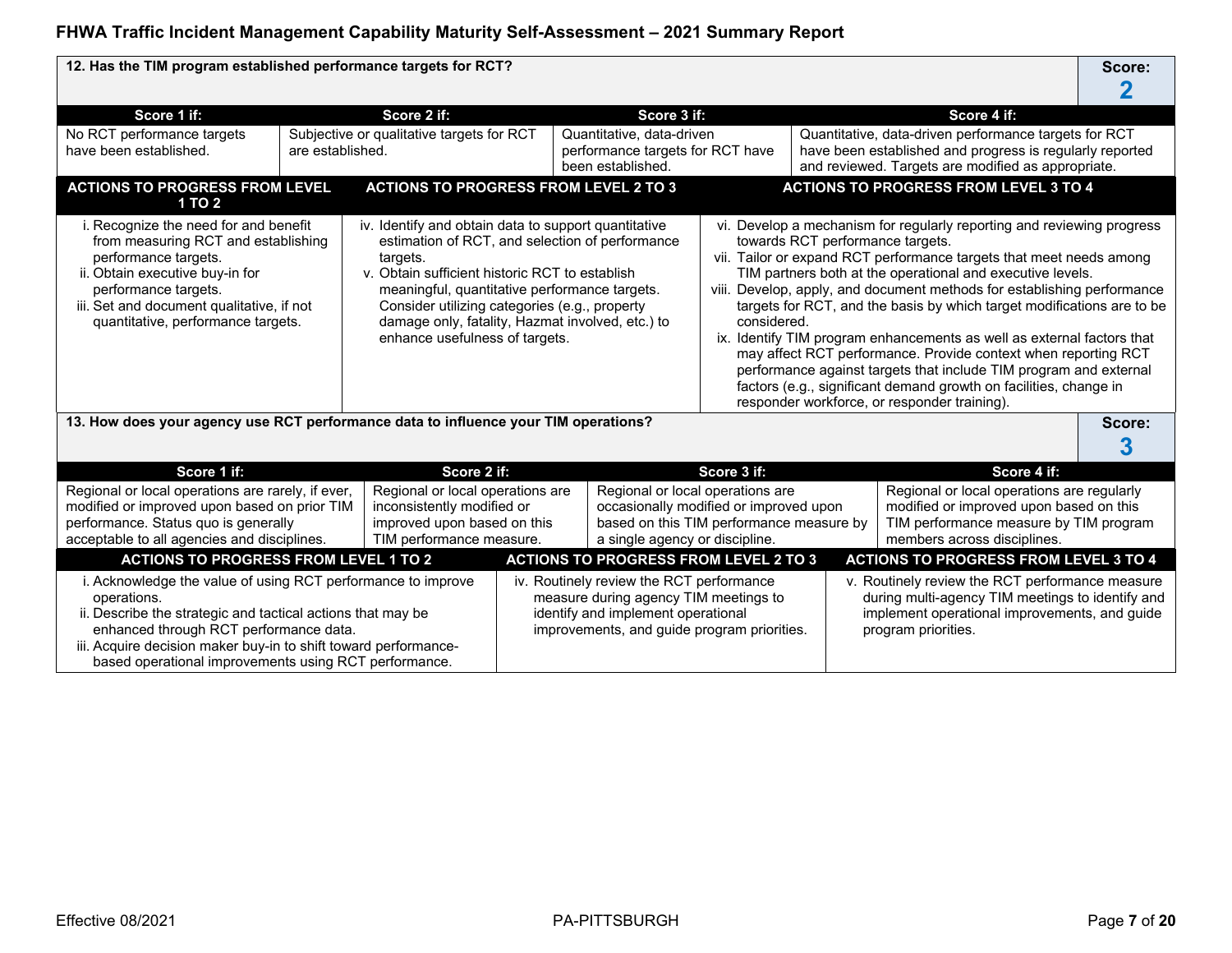| 12. Has the TIM program established performance targets for RCT?                                                                                                                                                                                                                                                                                                                                                                                                                                                                                                                                                    |                  |                                                                                                                           |                                                                    |                                                                                                                                                                        |                                                                                    |                                  |                                                                                                                                                                                                                                                                                                                                                                                                                                                                                                                                                                                                                                                                                                        | Score:      |  |
|---------------------------------------------------------------------------------------------------------------------------------------------------------------------------------------------------------------------------------------------------------------------------------------------------------------------------------------------------------------------------------------------------------------------------------------------------------------------------------------------------------------------------------------------------------------------------------------------------------------------|------------------|---------------------------------------------------------------------------------------------------------------------------|--------------------------------------------------------------------|------------------------------------------------------------------------------------------------------------------------------------------------------------------------|------------------------------------------------------------------------------------|----------------------------------|--------------------------------------------------------------------------------------------------------------------------------------------------------------------------------------------------------------------------------------------------------------------------------------------------------------------------------------------------------------------------------------------------------------------------------------------------------------------------------------------------------------------------------------------------------------------------------------------------------------------------------------------------------------------------------------------------------|-------------|--|
|                                                                                                                                                                                                                                                                                                                                                                                                                                                                                                                                                                                                                     |                  |                                                                                                                           |                                                                    |                                                                                                                                                                        |                                                                                    |                                  |                                                                                                                                                                                                                                                                                                                                                                                                                                                                                                                                                                                                                                                                                                        |             |  |
| Score 1 if:                                                                                                                                                                                                                                                                                                                                                                                                                                                                                                                                                                                                         |                  | Score 2 if:                                                                                                               |                                                                    | Score 3 if:                                                                                                                                                            |                                                                                    |                                  | Score 4 if:                                                                                                                                                                                                                                                                                                                                                                                                                                                                                                                                                                                                                                                                                            |             |  |
| No RCT performance targets                                                                                                                                                                                                                                                                                                                                                                                                                                                                                                                                                                                          |                  | Subjective or qualitative targets for RCT                                                                                 |                                                                    | Quantitative, data-driven                                                                                                                                              |                                                                                    |                                  | Quantitative, data-driven performance targets for RCT                                                                                                                                                                                                                                                                                                                                                                                                                                                                                                                                                                                                                                                  |             |  |
| have been established.                                                                                                                                                                                                                                                                                                                                                                                                                                                                                                                                                                                              | are established. |                                                                                                                           |                                                                    | performance targets for RCT have<br>been established.                                                                                                                  |                                                                                    |                                  | have been established and progress is regularly reported<br>and reviewed. Targets are modified as appropriate.                                                                                                                                                                                                                                                                                                                                                                                                                                                                                                                                                                                         |             |  |
| <b>ACTIONS TO PROGRESS FROM LEVEL</b><br>1 TO 2                                                                                                                                                                                                                                                                                                                                                                                                                                                                                                                                                                     |                  | <b>ACTIONS TO PROGRESS FROM LEVEL 2 TO 3</b>                                                                              |                                                                    |                                                                                                                                                                        |                                                                                    |                                  | <b>ACTIONS TO PROGRESS FROM LEVEL 3 TO 4</b>                                                                                                                                                                                                                                                                                                                                                                                                                                                                                                                                                                                                                                                           |             |  |
| i. Recognize the need for and benefit<br>iv. Identify and obtain data to support quantitative<br>estimation of RCT, and selection of performance<br>from measuring RCT and establishing<br>performance targets.<br>targets.<br>v. Obtain sufficient historic RCT to establish<br>ii. Obtain executive buy-in for<br>performance targets.<br>meaningful, quantitative performance targets.<br>iii. Set and document qualitative, if not<br>Consider utilizing categories (e.g., property<br>damage only, fatality, Hazmat involved, etc.) to<br>quantitative, performance targets.<br>enhance usefulness of targets. |                  |                                                                                                                           |                                                                    |                                                                                                                                                                        | considered.                                                                        | towards RCT performance targets. | vi. Develop a mechanism for regularly reporting and reviewing progress<br>vii. Tailor or expand RCT performance targets that meet needs among<br>TIM partners both at the operational and executive levels.<br>viii. Develop, apply, and document methods for establishing performance<br>targets for RCT, and the basis by which target modifications are to be<br>ix. Identify TIM program enhancements as well as external factors that<br>may affect RCT performance. Provide context when reporting RCT<br>performance against targets that include TIM program and external<br>factors (e.g., significant demand growth on facilities, change in<br>responder workforce, or responder training). |             |  |
| 13. How does your agency use RCT performance data to influence your TIM operations?                                                                                                                                                                                                                                                                                                                                                                                                                                                                                                                                 |                  |                                                                                                                           |                                                                    |                                                                                                                                                                        |                                                                                    |                                  |                                                                                                                                                                                                                                                                                                                                                                                                                                                                                                                                                                                                                                                                                                        | Score:<br>3 |  |
| Score 1 if:                                                                                                                                                                                                                                                                                                                                                                                                                                                                                                                                                                                                         |                  | Score 2 if:                                                                                                               |                                                                    |                                                                                                                                                                        | Score 3 if:                                                                        |                                  | Score 4 if:                                                                                                                                                                                                                                                                                                                                                                                                                                                                                                                                                                                                                                                                                            |             |  |
| Regional or local operations are rarely, if ever,<br>modified or improved upon based on prior TIM<br>performance. Status quo is generally<br>acceptable to all agencies and disciplines.                                                                                                                                                                                                                                                                                                                                                                                                                            |                  | Regional or local operations are<br>inconsistently modified or<br>improved upon based on this<br>TIM performance measure. | Regional or local operations are<br>a single agency or discipline. |                                                                                                                                                                        | occasionally modified or improved upon<br>based on this TIM performance measure by |                                  | Regional or local operations are regularly<br>modified or improved upon based on this<br>TIM performance measure by TIM program<br>members across disciplines.                                                                                                                                                                                                                                                                                                                                                                                                                                                                                                                                         |             |  |
|                                                                                                                                                                                                                                                                                                                                                                                                                                                                                                                                                                                                                     |                  |                                                                                                                           |                                                                    | <b>ACTIONS TO PROGRESS FROM LEVEL 2 TO 3</b>                                                                                                                           |                                                                                    |                                  | <b>ACTIONS TO PROGRESS FROM LEVEL 3 TO 4</b>                                                                                                                                                                                                                                                                                                                                                                                                                                                                                                                                                                                                                                                           |             |  |
| <b>ACTIONS TO PROGRESS FROM LEVEL 1 TO 2</b><br>i. Acknowledge the value of using RCT performance to improve<br>operations.<br>ii. Describe the strategic and tactical actions that may be<br>enhanced through RCT performance data.<br>iii. Acquire decision maker buy-in to shift toward performance-                                                                                                                                                                                                                                                                                                             |                  |                                                                                                                           |                                                                    | iv. Routinely review the RCT performance<br>measure during agency TIM meetings to<br>identify and implement operational<br>improvements, and guide program priorities. |                                                                                    |                                  | v. Routinely review the RCT performance measure<br>during multi-agency TIM meetings to identify and<br>implement operational improvements, and guide<br>program priorities.                                                                                                                                                                                                                                                                                                                                                                                                                                                                                                                            |             |  |

based operational improvements using RCT performance.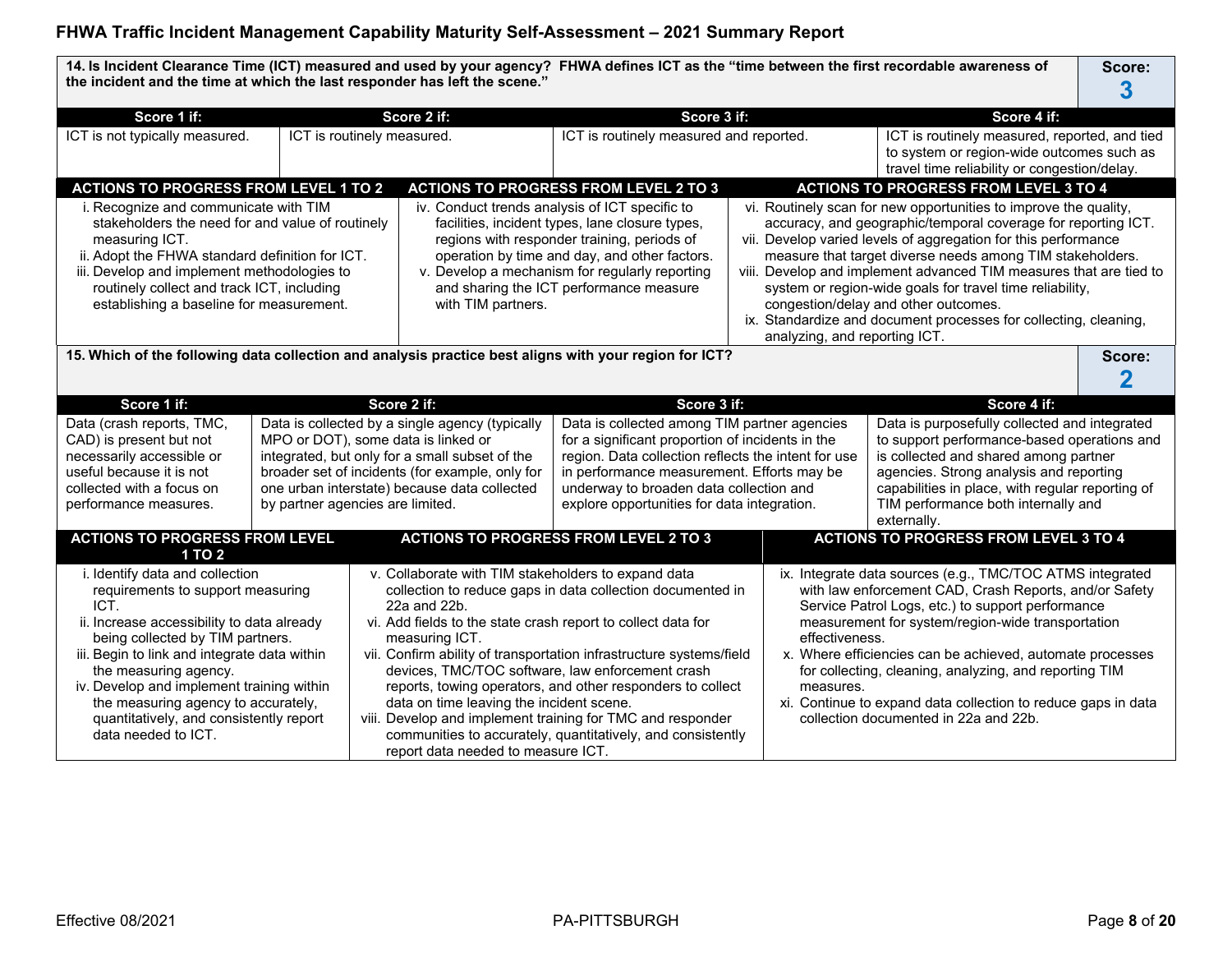**14. Is Incident Clearance Time (ICT) measured and used by your agency? FHWA defines ICT as the "time between the first recordable awareness of the incident and the time at which the last responder has left the scene." Score: 3 Score 1 if: Score 2 if: Score 3 if: Score 4 if:** ICT is not typically measured. ICT is routinely measured. ICT is routinely measured and reported. ICT is routinely measured, and tied to system or region-wide outcomes such as travel time reliability or congestion/delay. **ACTIONS TO PROGRESS FROM LEVEL 1 TO 2 ACTIONS TO PROGRESS FROM LEVEL 2 TO 3 ACTIONS TO PROGRESS FROM LEVEL 3 TO 4** i. Recognize and communicate with TIM stakeholders the need for and value of routinely measuring ICT. ii. Adopt the FHWA standard definition for ICT. iii. Develop and implement methodologies to routinely collect and track ICT, including establishing a baseline for measurement. iv. Conduct trends analysis of ICT specific to facilities, incident types, lane closure types, regions with responder training, periods of operation by time and day, and other factors. v. Develop a mechanism for regularly reporting and sharing the ICT performance measure with TIM partners. vi. Routinely scan for new opportunities to improve the quality, accuracy, and geographic/temporal coverage for reporting ICT. vii. Develop varied levels of aggregation for this performance measure that target diverse needs among TIM stakeholders. viii. Develop and implement advanced TIM measures that are tied to system or region-wide goals for travel time reliability, congestion/delay and other outcomes. ix. Standardize and document processes for collecting, cleaning, analyzing, and reporting ICT. **15.** Which of the following data collection and analysis practice best aligns with your region for ICT? **Score:** Score: **2 Score 1 if: Score 2 if: Score 3 if: Score 4 if:** Data (crash reports, TMC, CAD) is present but not necessarily accessible or useful because it is not collected with a focus on performance measures. Data is collected by a single agency (typically MPO or DOT), some data is linked or integrated, but only for a small subset of the broader set of incidents (for example, only for one urban interstate) because data collected by partner agencies are limited. Data is collected among TIM partner agencies for a significant proportion of incidents in the region. Data collection reflects the intent for use in performance measurement. Efforts may be underway to broaden data collection and explore opportunities for data integration. Data is purposefully collected and integrated to support performance-based operations and is collected and shared among partner agencies. Strong analysis and reporting capabilities in place, with regular reporting of TIM performance both internally and externally. **ACTIONS TO PROGRESS FROM LEVEL 1 TO 2 ACTIONS TO PROGRESS FROM LEVEL 2 TO 3 ACTIONS TO PROGRESS FROM LEVEL 3 TO 4** i. Identify data and collection requirements to support measuring ICT. ii. Increase accessibility to data already being collected by TIM partners. iii. Begin to link and integrate data within the measuring agency. iv. Develop and implement training within the measuring agency to accurately, quantitatively, and consistently report data needed to ICT. v. Collaborate with TIM stakeholders to expand data collection to reduce gaps in data collection documented in 22a and 22b. vi. Add fields to the state crash report to collect data for measuring ICT. vii. Confirm ability of transportation infrastructure systems/field devices, TMC/TOC software, law enforcement crash reports, towing operators, and other responders to collect data on time leaving the incident scene. viii. Develop and implement training for TMC and responder communities to accurately, quantitatively, and consistently report data needed to measure ICT. ix. Integrate data sources (e.g., TMC/TOC ATMS integrated with law enforcement CAD, Crash Reports, and/or Safety Service Patrol Logs, etc.) to support performance measurement for system/region-wide transportation effectiveness. x. Where efficiencies can be achieved, automate processes for collecting, cleaning, analyzing, and reporting TIM measures. xi. Continue to expand data collection to reduce gaps in data collection documented in 22a and 22b.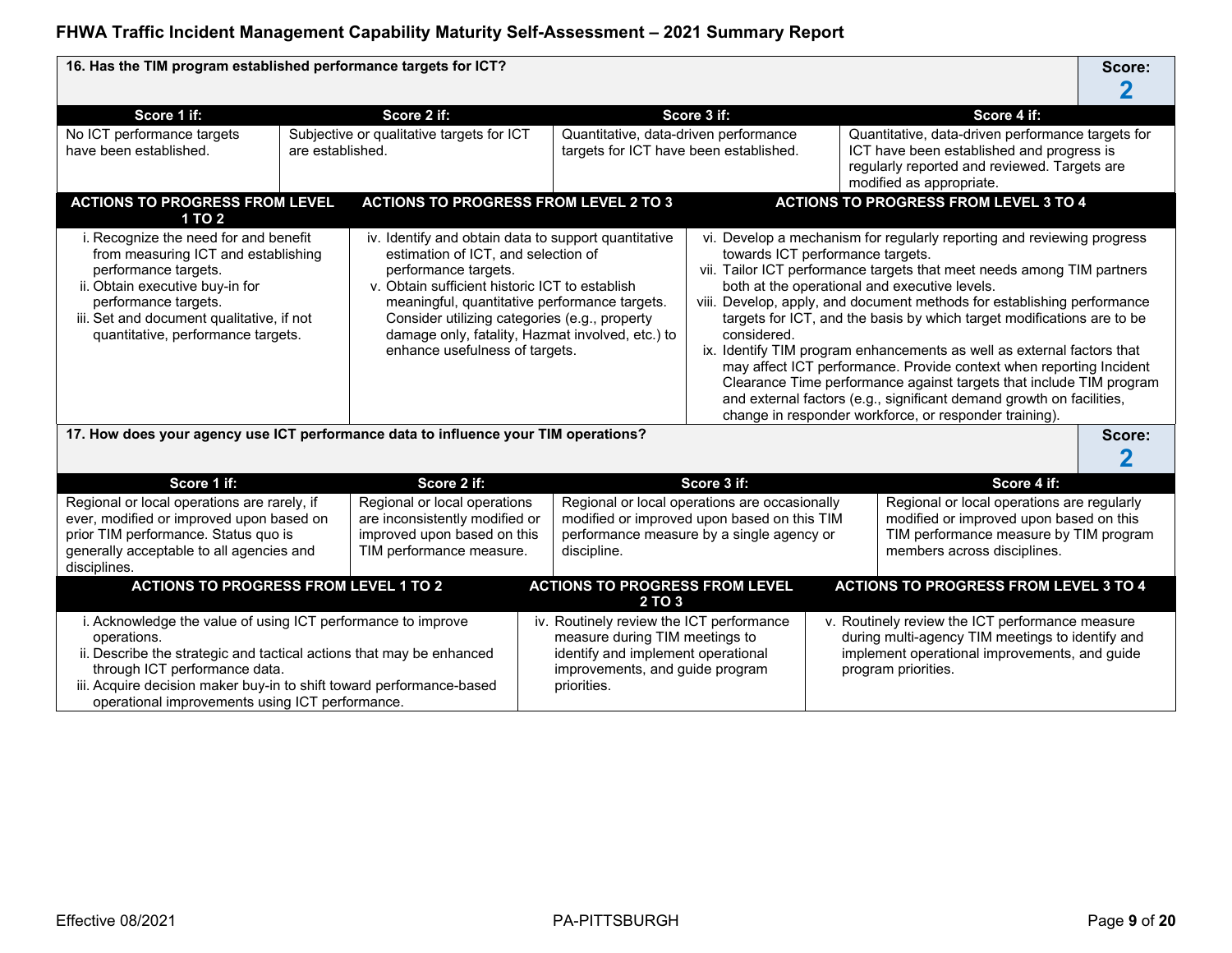| 16. Has the TIM program established performance targets for ICT?                                                                                                                                                                                                                                                                                                                                                                                                                                                                                                |                  |                                                                                               |                                                                                                                                                                    |                                                                                 |  |                                                                                                                                                                                                                                                                                                                                                                                                                                                                                                                                                                                                                                                                                                                  | Score:      |
|-----------------------------------------------------------------------------------------------------------------------------------------------------------------------------------------------------------------------------------------------------------------------------------------------------------------------------------------------------------------------------------------------------------------------------------------------------------------------------------------------------------------------------------------------------------------|------------------|-----------------------------------------------------------------------------------------------|--------------------------------------------------------------------------------------------------------------------------------------------------------------------|---------------------------------------------------------------------------------|--|------------------------------------------------------------------------------------------------------------------------------------------------------------------------------------------------------------------------------------------------------------------------------------------------------------------------------------------------------------------------------------------------------------------------------------------------------------------------------------------------------------------------------------------------------------------------------------------------------------------------------------------------------------------------------------------------------------------|-------------|
|                                                                                                                                                                                                                                                                                                                                                                                                                                                                                                                                                                 |                  |                                                                                               |                                                                                                                                                                    |                                                                                 |  |                                                                                                                                                                                                                                                                                                                                                                                                                                                                                                                                                                                                                                                                                                                  |             |
| Score 1 if:                                                                                                                                                                                                                                                                                                                                                                                                                                                                                                                                                     |                  | Score 2 if:                                                                                   |                                                                                                                                                                    | Score 3 if:                                                                     |  | Score 4 if:                                                                                                                                                                                                                                                                                                                                                                                                                                                                                                                                                                                                                                                                                                      |             |
| No ICT performance targets<br>have been established.                                                                                                                                                                                                                                                                                                                                                                                                                                                                                                            | are established. | Subjective or qualitative targets for ICT                                                     |                                                                                                                                                                    | Quantitative, data-driven performance<br>targets for ICT have been established. |  | Quantitative, data-driven performance targets for<br>ICT have been established and progress is<br>regularly reported and reviewed. Targets are<br>modified as appropriate.                                                                                                                                                                                                                                                                                                                                                                                                                                                                                                                                       |             |
| <b>ACTIONS TO PROGRESS FROM LEVEL</b><br>1 TO 2                                                                                                                                                                                                                                                                                                                                                                                                                                                                                                                 |                  | <b>ACTIONS TO PROGRESS FROM LEVEL 2 TO 3</b>                                                  |                                                                                                                                                                    |                                                                                 |  | <b>ACTIONS TO PROGRESS FROM LEVEL 3 TO 4</b>                                                                                                                                                                                                                                                                                                                                                                                                                                                                                                                                                                                                                                                                     |             |
| i. Recognize the need for and benefit<br>iv. Identify and obtain data to support quantitative<br>from measuring ICT and establishing<br>estimation of ICT, and selection of<br>performance targets.<br>performance targets.<br>ii. Obtain executive buy-in for<br>v. Obtain sufficient historic ICT to establish<br>meaningful, quantitative performance targets.<br>performance targets.<br>iii. Set and document qualitative, if not<br>Consider utilizing categories (e.g., property<br>quantitative, performance targets.<br>enhance usefulness of targets. |                  |                                                                                               | damage only, fatality, Hazmat involved, etc.) to                                                                                                                   | towards ICT performance targets.<br>considered.                                 |  | vi. Develop a mechanism for regularly reporting and reviewing progress<br>vii. Tailor ICT performance targets that meet needs among TIM partners<br>both at the operational and executive levels.<br>viii. Develop, apply, and document methods for establishing performance<br>targets for ICT, and the basis by which target modifications are to be<br>ix. Identify TIM program enhancements as well as external factors that<br>may affect ICT performance. Provide context when reporting Incident<br>Clearance Time performance against targets that include TIM program<br>and external factors (e.g., significant demand growth on facilities,<br>change in responder workforce, or responder training). |             |
| 17. How does your agency use ICT performance data to influence your TIM operations?                                                                                                                                                                                                                                                                                                                                                                                                                                                                             |                  |                                                                                               |                                                                                                                                                                    |                                                                                 |  |                                                                                                                                                                                                                                                                                                                                                                                                                                                                                                                                                                                                                                                                                                                  | Score:<br>2 |
| Score 1 if:                                                                                                                                                                                                                                                                                                                                                                                                                                                                                                                                                     |                  | Score 2 if:                                                                                   |                                                                                                                                                                    | Score 3 if:                                                                     |  | Score 4 if:                                                                                                                                                                                                                                                                                                                                                                                                                                                                                                                                                                                                                                                                                                      |             |
| Regional or local operations are rarely, if<br>ever, modified or improved upon based on<br>prior TIM performance. Status quo is<br>generally acceptable to all agencies and<br>TIM performance measure.<br>disciplines.                                                                                                                                                                                                                                                                                                                                         |                  | Regional or local operations<br>are inconsistently modified or<br>improved upon based on this | Regional or local operations are occasionally<br>modified or improved upon based on this TIM<br>performance measure by a single agency or<br>discipline.           |                                                                                 |  | Regional or local operations are regularly<br>modified or improved upon based on this<br>TIM performance measure by TIM program<br>members across disciplines.                                                                                                                                                                                                                                                                                                                                                                                                                                                                                                                                                   |             |
| <b>ACTIONS TO PROGRESS FROM LEVEL 1 TO 2</b>                                                                                                                                                                                                                                                                                                                                                                                                                                                                                                                    |                  |                                                                                               | <b>ACTIONS TO PROGRESS FROM LEVEL</b>                                                                                                                              |                                                                                 |  | <b>ACTIONS TO PROGRESS FROM LEVEL 3 TO 4</b>                                                                                                                                                                                                                                                                                                                                                                                                                                                                                                                                                                                                                                                                     |             |
|                                                                                                                                                                                                                                                                                                                                                                                                                                                                                                                                                                 |                  |                                                                                               | 2 TO 3                                                                                                                                                             |                                                                                 |  |                                                                                                                                                                                                                                                                                                                                                                                                                                                                                                                                                                                                                                                                                                                  |             |
| i. Acknowledge the value of using ICT performance to improve<br>operations.<br>ii. Describe the strategic and tactical actions that may be enhanced<br>through ICT performance data.<br>iii. Acquire decision maker buy-in to shift toward performance-based<br>operational improvements using ICT performance.                                                                                                                                                                                                                                                 |                  |                                                                                               | iv. Routinely review the ICT performance<br>measure during TIM meetings to<br>identify and implement operational<br>improvements, and guide program<br>priorities. |                                                                                 |  | v. Routinely review the ICT performance measure<br>during multi-agency TIM meetings to identify and<br>implement operational improvements, and guide<br>program priorities.                                                                                                                                                                                                                                                                                                                                                                                                                                                                                                                                      |             |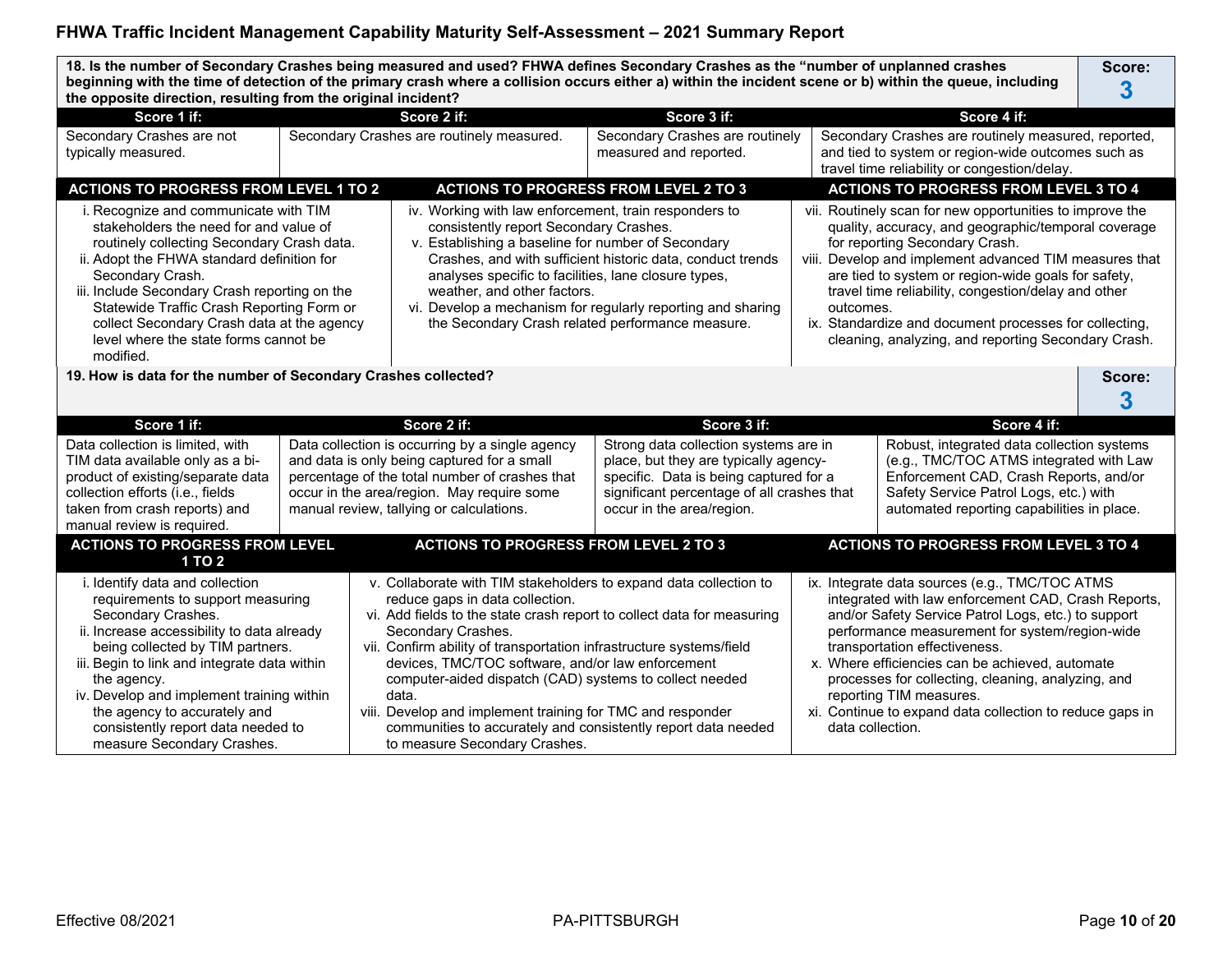**18. Is the number of Secondary Crashes being measured and used? FHWA defines Secondary Crashes as the "number of unplanned crashes beginning with the time of detection of the primary crash where a collision occurs either a) within the incident scene or b) within the queue, including the opposite direction, resulting from the original incident? Score: 3**

| the opposite direction, resulting from the original incluent?                                                                                                                                                                                                                                                                                                                                     |                                                                                                                                                                                                                                                                                                                                                                                                                                                                                                                                                                      |                                                                                                                                                                                                                                                                                                                                                                                                                                                         |                  |                                                                                                                                                                                                                                                                                                                                                                                                                                                 |
|---------------------------------------------------------------------------------------------------------------------------------------------------------------------------------------------------------------------------------------------------------------------------------------------------------------------------------------------------------------------------------------------------|----------------------------------------------------------------------------------------------------------------------------------------------------------------------------------------------------------------------------------------------------------------------------------------------------------------------------------------------------------------------------------------------------------------------------------------------------------------------------------------------------------------------------------------------------------------------|---------------------------------------------------------------------------------------------------------------------------------------------------------------------------------------------------------------------------------------------------------------------------------------------------------------------------------------------------------------------------------------------------------------------------------------------------------|------------------|-------------------------------------------------------------------------------------------------------------------------------------------------------------------------------------------------------------------------------------------------------------------------------------------------------------------------------------------------------------------------------------------------------------------------------------------------|
| Score 1 if:                                                                                                                                                                                                                                                                                                                                                                                       | Score 2 if:                                                                                                                                                                                                                                                                                                                                                                                                                                                                                                                                                          | Score 3 if:                                                                                                                                                                                                                                                                                                                                                                                                                                             |                  | Score 4 if:                                                                                                                                                                                                                                                                                                                                                                                                                                     |
| Secondary Crashes are not<br>typically measured.                                                                                                                                                                                                                                                                                                                                                  | Secondary Crashes are routinely measured.                                                                                                                                                                                                                                                                                                                                                                                                                                                                                                                            | Secondary Crashes are routinely<br>measured and reported.                                                                                                                                                                                                                                                                                                                                                                                               |                  | Secondary Crashes are routinely measured, reported,<br>and tied to system or region-wide outcomes such as<br>travel time reliability or congestion/delay.                                                                                                                                                                                                                                                                                       |
| <b>ACTIONS TO PROGRESS FROM LEVEL 1 TO 2</b>                                                                                                                                                                                                                                                                                                                                                      |                                                                                                                                                                                                                                                                                                                                                                                                                                                                                                                                                                      | <b>ACTIONS TO PROGRESS FROM LEVEL 2 TO 3</b>                                                                                                                                                                                                                                                                                                                                                                                                            |                  | <b>ACTIONS TO PROGRESS FROM LEVEL 3 TO 4</b>                                                                                                                                                                                                                                                                                                                                                                                                    |
| i. Recognize and communicate with TIM<br>stakeholders the need for and value of<br>routinely collecting Secondary Crash data.<br>ii. Adopt the FHWA standard definition for<br>Secondary Crash.<br>iii. Include Secondary Crash reporting on the<br>Statewide Traffic Crash Reporting Form or<br>collect Secondary Crash data at the agency<br>level where the state forms cannot be<br>modified. | iv. Working with law enforcement, train responders to<br>consistently report Secondary Crashes.<br>v. Establishing a baseline for number of Secondary<br>Crashes, and with sufficient historic data, conduct trends<br>analyses specific to facilities, lane closure types,<br>weather, and other factors.<br>vi. Develop a mechanism for regularly reporting and sharing<br>the Secondary Crash related performance measure.                                                                                                                                        | vii. Routinely scan for new opportunities to improve the<br>quality, accuracy, and geographic/temporal coverage<br>for reporting Secondary Crash.<br>viii. Develop and implement advanced TIM measures that<br>are tied to system or region-wide goals for safety,<br>travel time reliability, congestion/delay and other<br>outcomes.<br>ix. Standardize and document processes for collecting,<br>cleaning, analyzing, and reporting Secondary Crash. |                  |                                                                                                                                                                                                                                                                                                                                                                                                                                                 |
| 19. How is data for the number of Secondary Crashes collected?                                                                                                                                                                                                                                                                                                                                    |                                                                                                                                                                                                                                                                                                                                                                                                                                                                                                                                                                      |                                                                                                                                                                                                                                                                                                                                                                                                                                                         |                  | Score:<br>3                                                                                                                                                                                                                                                                                                                                                                                                                                     |
| Score 1 if:                                                                                                                                                                                                                                                                                                                                                                                       | Score 2 if:                                                                                                                                                                                                                                                                                                                                                                                                                                                                                                                                                          | Score 3 if:                                                                                                                                                                                                                                                                                                                                                                                                                                             |                  | Score 4 if:                                                                                                                                                                                                                                                                                                                                                                                                                                     |
| Data collection is limited, with<br>TIM data available only as a bi-<br>product of existing/separate data<br>collection efforts (i.e., fields<br>taken from crash reports) and<br>manual review is required.<br><b>ACTIONS TO PROGRESS FROM LEVEL</b><br><b>1 TO 2</b>                                                                                                                            | Data collection is occurring by a single agency<br>and data is only being captured for a small<br>percentage of the total number of crashes that<br>occur in the area/region. May require some<br>manual review, tallying or calculations.<br><b>ACTIONS TO PROGRESS FROM LEVEL 2 TO 3</b>                                                                                                                                                                                                                                                                           | Strong data collection systems are in<br>place, but they are typically agency-<br>specific. Data is being captured for a<br>significant percentage of all crashes that<br>occur in the area/region.                                                                                                                                                                                                                                                     |                  | Robust, integrated data collection systems<br>(e.g., TMC/TOC ATMS integrated with Law<br>Enforcement CAD, Crash Reports, and/or<br>Safety Service Patrol Logs, etc.) with<br>automated reporting capabilities in place.<br><b>ACTIONS TO PROGRESS FROM LEVEL 3 TO 4</b>                                                                                                                                                                         |
| i. Identify data and collection<br>requirements to support measuring<br>Secondary Crashes.<br>ii. Increase accessibility to data already<br>being collected by TIM partners.<br>iii. Begin to link and integrate data within<br>the agency.<br>iv. Develop and implement training within<br>the agency to accurately and<br>consistently report data needed to<br>measure Secondary Crashes.      | v. Collaborate with TIM stakeholders to expand data collection to<br>reduce gaps in data collection.<br>vi. Add fields to the state crash report to collect data for measuring<br>Secondary Crashes.<br>vii. Confirm ability of transportation infrastructure systems/field<br>devices, TMC/TOC software, and/or law enforcement<br>computer-aided dispatch (CAD) systems to collect needed<br>data.<br>viii. Develop and implement training for TMC and responder<br>communities to accurately and consistently report data needed<br>to measure Secondary Crashes. |                                                                                                                                                                                                                                                                                                                                                                                                                                                         | data collection. | ix. Integrate data sources (e.g., TMC/TOC ATMS<br>integrated with law enforcement CAD, Crash Reports,<br>and/or Safety Service Patrol Logs, etc.) to support<br>performance measurement for system/region-wide<br>transportation effectiveness.<br>x. Where efficiencies can be achieved, automate<br>processes for collecting, cleaning, analyzing, and<br>reporting TIM measures.<br>xi. Continue to expand data collection to reduce gaps in |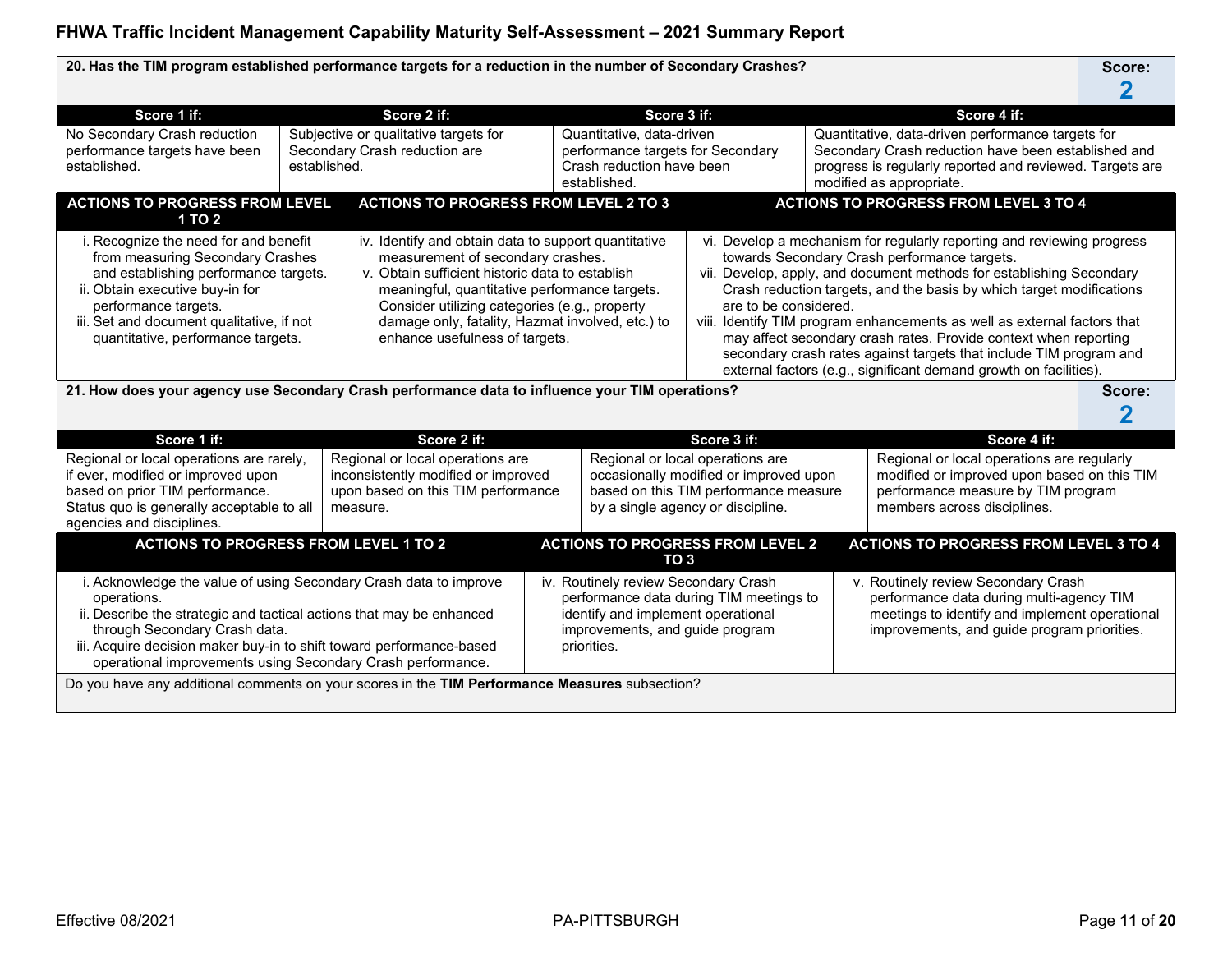20. Has the TIM program established performance targets for a reduction in the number of Secondary Crashes? **Score:** Score:

| Score 1 if:                                                                                                                                                                                                                                                                                                                                                                                                                                                                                                                                                                                                                                                                                                 |              | Score 2 if:                                                                                                               |                                                                                                                                                                                                                                                                                                                                                             | Score 3 if:                                                                                                 |                                         |                                                                                                                                                                                                  | Score 4 if:                                                                                                                                                                                                                                                                                                                                                                                                                                                                                                                                                       |  |
|-------------------------------------------------------------------------------------------------------------------------------------------------------------------------------------------------------------------------------------------------------------------------------------------------------------------------------------------------------------------------------------------------------------------------------------------------------------------------------------------------------------------------------------------------------------------------------------------------------------------------------------------------------------------------------------------------------------|--------------|---------------------------------------------------------------------------------------------------------------------------|-------------------------------------------------------------------------------------------------------------------------------------------------------------------------------------------------------------------------------------------------------------------------------------------------------------------------------------------------------------|-------------------------------------------------------------------------------------------------------------|-----------------------------------------|--------------------------------------------------------------------------------------------------------------------------------------------------------------------------------------------------|-------------------------------------------------------------------------------------------------------------------------------------------------------------------------------------------------------------------------------------------------------------------------------------------------------------------------------------------------------------------------------------------------------------------------------------------------------------------------------------------------------------------------------------------------------------------|--|
| No Secondary Crash reduction<br>performance targets have been<br>established.                                                                                                                                                                                                                                                                                                                                                                                                                                                                                                                                                                                                                               | established. | Subjective or qualitative targets for<br>Secondary Crash reduction are                                                    |                                                                                                                                                                                                                                                                                                                                                             | Quantitative, data-driven<br>performance targets for Secondary<br>Crash reduction have been<br>established. |                                         | Quantitative, data-driven performance targets for<br>Secondary Crash reduction have been established and<br>progress is regularly reported and reviewed. Targets are<br>modified as appropriate. |                                                                                                                                                                                                                                                                                                                                                                                                                                                                                                                                                                   |  |
| <b>ACTIONS TO PROGRESS FROM LEVEL</b><br><b>1 TO 2</b>                                                                                                                                                                                                                                                                                                                                                                                                                                                                                                                                                                                                                                                      |              | <b>ACTIONS TO PROGRESS FROM LEVEL 2 TO 3</b>                                                                              |                                                                                                                                                                                                                                                                                                                                                             |                                                                                                             |                                         |                                                                                                                                                                                                  | <b>ACTIONS TO PROGRESS FROM LEVEL 3 TO 4</b>                                                                                                                                                                                                                                                                                                                                                                                                                                                                                                                      |  |
| i. Recognize the need for and benefit<br>iv. Identify and obtain data to support quantitative<br>from measuring Secondary Crashes<br>measurement of secondary crashes.<br>and establishing performance targets.<br>v. Obtain sufficient historic data to establish<br>ii. Obtain executive buy-in for<br>meaningful, quantitative performance targets.<br>performance targets.<br>Consider utilizing categories (e.g., property<br>iii. Set and document qualitative, if not<br>damage only, fatality, Hazmat involved, etc.) to<br>enhance usefulness of targets.<br>quantitative, performance targets.<br>21. How does your agency use Secondary Crash performance data to influence your TIM operations? |              |                                                                                                                           |                                                                                                                                                                                                                                                                                                                                                             |                                                                                                             | are to be considered.                   |                                                                                                                                                                                                  | vi. Develop a mechanism for regularly reporting and reviewing progress<br>towards Secondary Crash performance targets.<br>vii. Develop, apply, and document methods for establishing Secondary<br>Crash reduction targets, and the basis by which target modifications<br>viii. Identify TIM program enhancements as well as external factors that<br>may affect secondary crash rates. Provide context when reporting<br>secondary crash rates against targets that include TIM program and<br>external factors (e.g., significant demand growth on facilities). |  |
|                                                                                                                                                                                                                                                                                                                                                                                                                                                                                                                                                                                                                                                                                                             |              |                                                                                                                           |                                                                                                                                                                                                                                                                                                                                                             |                                                                                                             |                                         |                                                                                                                                                                                                  | Score:                                                                                                                                                                                                                                                                                                                                                                                                                                                                                                                                                            |  |
| Score 1 if:                                                                                                                                                                                                                                                                                                                                                                                                                                                                                                                                                                                                                                                                                                 |              | Score 2 if:                                                                                                               |                                                                                                                                                                                                                                                                                                                                                             |                                                                                                             | Score 3 if:                             |                                                                                                                                                                                                  | Score 4 if:                                                                                                                                                                                                                                                                                                                                                                                                                                                                                                                                                       |  |
| Regional or local operations are rarely,<br>if ever, modified or improved upon<br>based on prior TIM performance.<br>Status quo is generally acceptable to all<br>agencies and disciplines.                                                                                                                                                                                                                                                                                                                                                                                                                                                                                                                 |              | Regional or local operations are<br>inconsistently modified or improved<br>upon based on this TIM performance<br>measure. | Regional or local operations are<br>occasionally modified or improved upon<br>based on this TIM performance measure<br>by a single agency or discipline.                                                                                                                                                                                                    |                                                                                                             |                                         |                                                                                                                                                                                                  | Regional or local operations are regularly<br>modified or improved upon based on this TIM<br>performance measure by TIM program<br>members across disciplines.                                                                                                                                                                                                                                                                                                                                                                                                    |  |
| <b>ACTIONS TO PROGRESS FROM LEVEL 1 TO 2</b>                                                                                                                                                                                                                                                                                                                                                                                                                                                                                                                                                                                                                                                                |              |                                                                                                                           |                                                                                                                                                                                                                                                                                                                                                             | TO <sub>3</sub>                                                                                             | <b>ACTIONS TO PROGRESS FROM LEVEL 2</b> |                                                                                                                                                                                                  | <b>ACTIONS TO PROGRESS FROM LEVEL 3 TO 4</b>                                                                                                                                                                                                                                                                                                                                                                                                                                                                                                                      |  |
| i. Acknowledge the value of using Secondary Crash data to improve<br>operations.<br>ii. Describe the strategic and tactical actions that may be enhanced<br>through Secondary Crash data.<br>iii. Acquire decision maker buy-in to shift toward performance-based<br>operational improvements using Secondary Crash performance.                                                                                                                                                                                                                                                                                                                                                                            |              |                                                                                                                           | iv. Routinely review Secondary Crash<br>v. Routinely review Secondary Crash<br>performance data during multi-agency TIM<br>performance data during TIM meetings to<br>meetings to identify and implement operational<br>identify and implement operational<br>improvements, and guide program<br>improvements, and guide program priorities.<br>priorities. |                                                                                                             |                                         |                                                                                                                                                                                                  |                                                                                                                                                                                                                                                                                                                                                                                                                                                                                                                                                                   |  |
| Do you have any additional comments on your scores in the TIM Performance Measures subsection?                                                                                                                                                                                                                                                                                                                                                                                                                                                                                                                                                                                                              |              |                                                                                                                           |                                                                                                                                                                                                                                                                                                                                                             |                                                                                                             |                                         |                                                                                                                                                                                                  |                                                                                                                                                                                                                                                                                                                                                                                                                                                                                                                                                                   |  |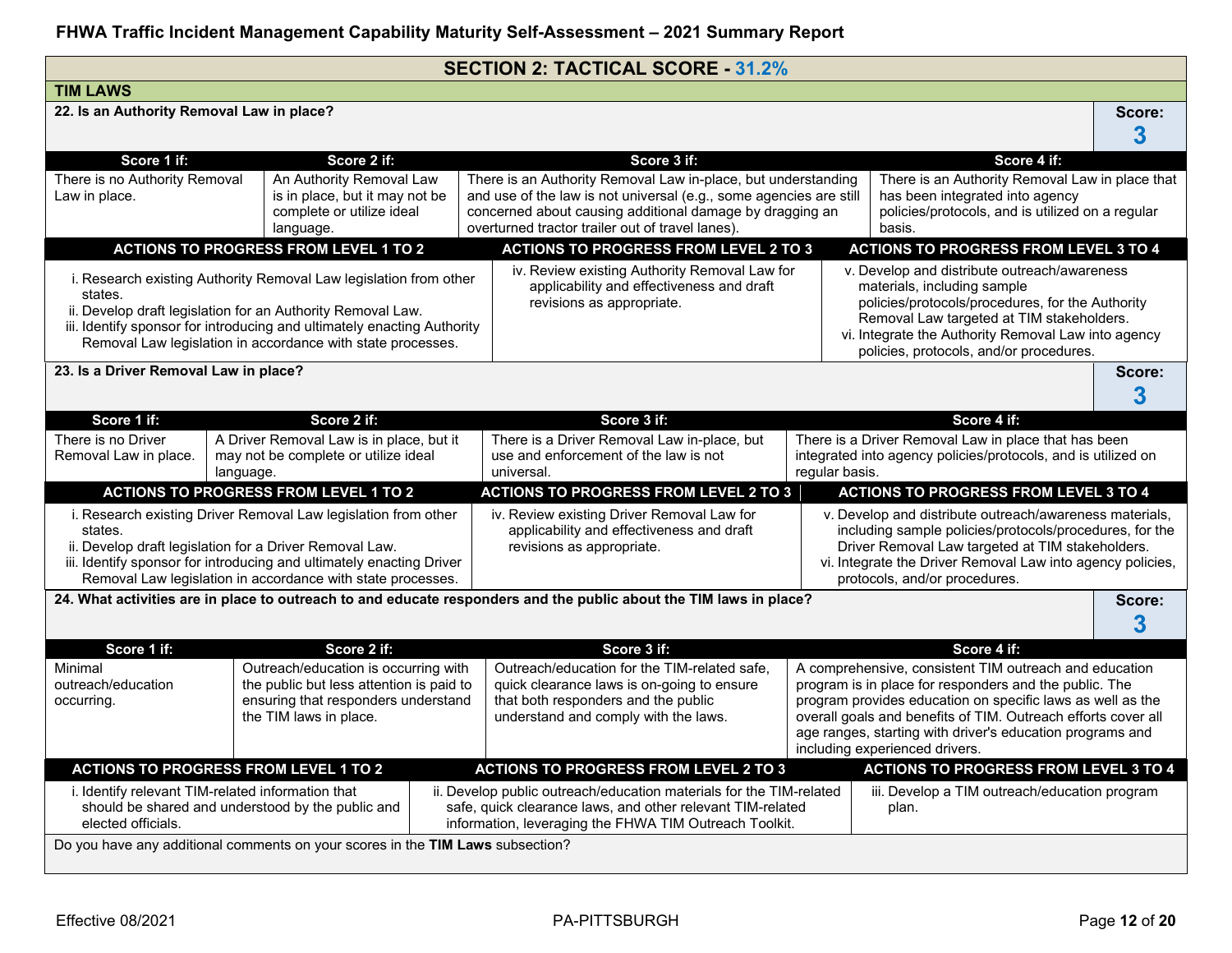|                                                                                                                                                                                                                                                                                       |                                                                                                                                                                                                                                                                  |                                                                                                                                                                           | <b>SECTION 2: TACTICAL SCORE - 31.2%</b>                                                                                                                                                                                                            |                                                                                                                                                                                                                                                                                                                                                |                                                                                                                                                                                                                                                                                |             |
|---------------------------------------------------------------------------------------------------------------------------------------------------------------------------------------------------------------------------------------------------------------------------------------|------------------------------------------------------------------------------------------------------------------------------------------------------------------------------------------------------------------------------------------------------------------|---------------------------------------------------------------------------------------------------------------------------------------------------------------------------|-----------------------------------------------------------------------------------------------------------------------------------------------------------------------------------------------------------------------------------------------------|------------------------------------------------------------------------------------------------------------------------------------------------------------------------------------------------------------------------------------------------------------------------------------------------------------------------------------------------|--------------------------------------------------------------------------------------------------------------------------------------------------------------------------------------------------------------------------------------------------------------------------------|-------------|
| <b>TIM LAWS</b>                                                                                                                                                                                                                                                                       |                                                                                                                                                                                                                                                                  |                                                                                                                                                                           |                                                                                                                                                                                                                                                     |                                                                                                                                                                                                                                                                                                                                                |                                                                                                                                                                                                                                                                                |             |
| 22. Is an Authority Removal Law in place?                                                                                                                                                                                                                                             |                                                                                                                                                                                                                                                                  |                                                                                                                                                                           |                                                                                                                                                                                                                                                     |                                                                                                                                                                                                                                                                                                                                                |                                                                                                                                                                                                                                                                                | Score:<br>3 |
| Score 1 if:                                                                                                                                                                                                                                                                           | Score 2 if:                                                                                                                                                                                                                                                      |                                                                                                                                                                           | Score 3 if:                                                                                                                                                                                                                                         |                                                                                                                                                                                                                                                                                                                                                | Score 4 if:                                                                                                                                                                                                                                                                    |             |
| There is no Authority Removal<br>Law in place.                                                                                                                                                                                                                                        | An Authority Removal Law<br>is in place, but it may not be<br>complete or utilize ideal<br>language.                                                                                                                                                             |                                                                                                                                                                           | There is an Authority Removal Law in-place, but understanding<br>and use of the law is not universal (e.g., some agencies are still<br>concerned about causing additional damage by dragging an<br>overturned tractor trailer out of travel lanes). |                                                                                                                                                                                                                                                                                                                                                | There is an Authority Removal Law in place that<br>has been integrated into agency<br>policies/protocols, and is utilized on a regular<br>basis.                                                                                                                               |             |
|                                                                                                                                                                                                                                                                                       | <b>ACTIONS TO PROGRESS FROM LEVEL 1 TO 2</b>                                                                                                                                                                                                                     |                                                                                                                                                                           | <b>ACTIONS TO PROGRESS FROM LEVEL 2 TO 3</b>                                                                                                                                                                                                        |                                                                                                                                                                                                                                                                                                                                                | <b>ACTIONS TO PROGRESS FROM LEVEL 3 TO 4</b>                                                                                                                                                                                                                                   |             |
| i. Research existing Authority Removal Law legislation from other<br>states.<br>ii. Develop draft legislation for an Authority Removal Law.<br>iii. Identify sponsor for introducing and ultimately enacting Authority<br>Removal Law legislation in accordance with state processes. |                                                                                                                                                                                                                                                                  |                                                                                                                                                                           | iv. Review existing Authority Removal Law for<br>applicability and effectiveness and draft<br>revisions as appropriate.                                                                                                                             |                                                                                                                                                                                                                                                                                                                                                | v. Develop and distribute outreach/awareness<br>materials, including sample<br>policies/protocols/procedures, for the Authority<br>Removal Law targeted at TIM stakeholders.<br>vi. Integrate the Authority Removal Law into agency<br>policies, protocols, and/or procedures. |             |
| 23. Is a Driver Removal Law in place?                                                                                                                                                                                                                                                 |                                                                                                                                                                                                                                                                  |                                                                                                                                                                           |                                                                                                                                                                                                                                                     |                                                                                                                                                                                                                                                                                                                                                |                                                                                                                                                                                                                                                                                | Score:<br>3 |
| Score 1 if:                                                                                                                                                                                                                                                                           | Score 2 if:                                                                                                                                                                                                                                                      |                                                                                                                                                                           | Score 3 if:                                                                                                                                                                                                                                         |                                                                                                                                                                                                                                                                                                                                                | Score 4 if:                                                                                                                                                                                                                                                                    |             |
| There is no Driver<br>Removal Law in place.                                                                                                                                                                                                                                           | A Driver Removal Law is in place, but it<br>may not be complete or utilize ideal<br>language.                                                                                                                                                                    |                                                                                                                                                                           | There is a Driver Removal Law in-place, but<br>use and enforcement of the law is not<br>universal.                                                                                                                                                  | regular basis.                                                                                                                                                                                                                                                                                                                                 | There is a Driver Removal Law in place that has been<br>integrated into agency policies/protocols, and is utilized on                                                                                                                                                          |             |
|                                                                                                                                                                                                                                                                                       | <b>ACTIONS TO PROGRESS FROM LEVEL 1 TO 2</b>                                                                                                                                                                                                                     |                                                                                                                                                                           | <b>ACTIONS TO PROGRESS FROM LEVEL 2 TO 3</b>                                                                                                                                                                                                        |                                                                                                                                                                                                                                                                                                                                                | <b>ACTIONS TO PROGRESS FROM LEVEL 3 TO 4</b>                                                                                                                                                                                                                                   |             |
| states.                                                                                                                                                                                                                                                                               | i. Research existing Driver Removal Law legislation from other<br>ii. Develop draft legislation for a Driver Removal Law.<br>iii. Identify sponsor for introducing and ultimately enacting Driver<br>Removal Law legislation in accordance with state processes. |                                                                                                                                                                           | iv. Review existing Driver Removal Law for<br>applicability and effectiveness and draft<br>revisions as appropriate.                                                                                                                                |                                                                                                                                                                                                                                                                                                                                                | v. Develop and distribute outreach/awareness materials,<br>including sample policies/protocols/procedures, for the<br>Driver Removal Law targeted at TIM stakeholders.<br>vi. Integrate the Driver Removal Law into agency policies,<br>protocols, and/or procedures.          |             |
|                                                                                                                                                                                                                                                                                       |                                                                                                                                                                                                                                                                  |                                                                                                                                                                           | 24. What activities are in place to outreach to and educate responders and the public about the TIM laws in place?                                                                                                                                  |                                                                                                                                                                                                                                                                                                                                                |                                                                                                                                                                                                                                                                                | Score:<br>3 |
| Score 1 if:                                                                                                                                                                                                                                                                           | Score 2 if:                                                                                                                                                                                                                                                      |                                                                                                                                                                           | Score 3 if:                                                                                                                                                                                                                                         |                                                                                                                                                                                                                                                                                                                                                | Score 4 if:                                                                                                                                                                                                                                                                    |             |
| Minimal<br>Outreach/education is occurring with<br>outreach/education<br>the public but less attention is paid to<br>ensuring that responders understand<br>occurring.<br>the TIM laws in place.                                                                                      |                                                                                                                                                                                                                                                                  | Outreach/education for the TIM-related safe,<br>quick clearance laws is on-going to ensure<br>that both responders and the public<br>understand and comply with the laws. |                                                                                                                                                                                                                                                     | A comprehensive, consistent TIM outreach and education<br>program is in place for responders and the public. The<br>program provides education on specific laws as well as the<br>overall goals and benefits of TIM. Outreach efforts cover all<br>age ranges, starting with driver's education programs and<br>including experienced drivers. |                                                                                                                                                                                                                                                                                |             |
|                                                                                                                                                                                                                                                                                       | <b>ACTIONS TO PROGRESS FROM LEVEL 1 TO 2</b>                                                                                                                                                                                                                     |                                                                                                                                                                           | <b>ACTIONS TO PROGRESS FROM LEVEL 2 TO 3</b>                                                                                                                                                                                                        |                                                                                                                                                                                                                                                                                                                                                | <b>ACTIONS TO PROGRESS FROM LEVEL 3 TO 4</b>                                                                                                                                                                                                                                   |             |
| i. Identify relevant TIM-related information that<br>elected officials.                                                                                                                                                                                                               | should be shared and understood by the public and                                                                                                                                                                                                                |                                                                                                                                                                           | ii. Develop public outreach/education materials for the TIM-related<br>safe, quick clearance laws, and other relevant TIM-related<br>information, leveraging the FHWA TIM Outreach Toolkit.                                                         |                                                                                                                                                                                                                                                                                                                                                | iii. Develop a TIM outreach/education program<br>plan.                                                                                                                                                                                                                         |             |
|                                                                                                                                                                                                                                                                                       | Do you have any additional comments on your scores in the TIM Laws subsection?                                                                                                                                                                                   |                                                                                                                                                                           |                                                                                                                                                                                                                                                     |                                                                                                                                                                                                                                                                                                                                                |                                                                                                                                                                                                                                                                                |             |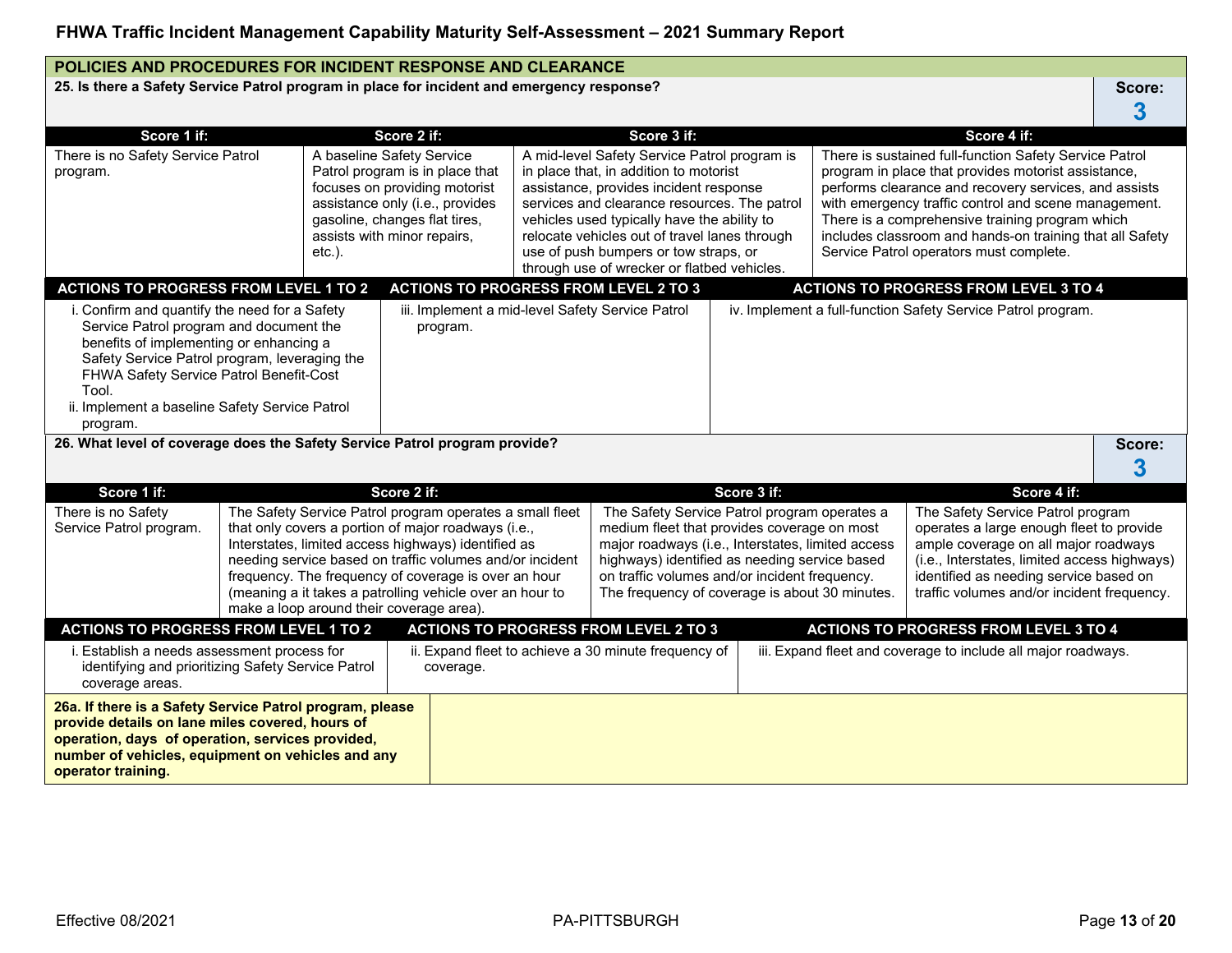### **POLICIES AND PROCEDURES FOR INCIDENT RESPONSE AND CLEARANCE**

25. Is there a Safety Service Patrol program in place for incident and emergency response? <br>
Score:

| Score 1 if:                                                                                                                                                                                                                                                                                            |  |                                        | Score 2 if:                                                                                                                                                                                                                                                                                                                                                                                        |                                                                                                                                                                                                                                                                                                                                                                          | Score 3 if:                                                                                                                                                                                                                                                                                          |             |                                                                                                                                                                                                                                                                                                                                                                                          | Score 4 if:                                                                                                                                                                                                                                                   |        |
|--------------------------------------------------------------------------------------------------------------------------------------------------------------------------------------------------------------------------------------------------------------------------------------------------------|--|----------------------------------------|----------------------------------------------------------------------------------------------------------------------------------------------------------------------------------------------------------------------------------------------------------------------------------------------------------------------------------------------------------------------------------------------------|--------------------------------------------------------------------------------------------------------------------------------------------------------------------------------------------------------------------------------------------------------------------------------------------------------------------------------------------------------------------------|------------------------------------------------------------------------------------------------------------------------------------------------------------------------------------------------------------------------------------------------------------------------------------------------------|-------------|------------------------------------------------------------------------------------------------------------------------------------------------------------------------------------------------------------------------------------------------------------------------------------------------------------------------------------------------------------------------------------------|---------------------------------------------------------------------------------------------------------------------------------------------------------------------------------------------------------------------------------------------------------------|--------|
| There is no Safety Service Patrol<br>program.                                                                                                                                                                                                                                                          |  | A baseline Safety Service<br>$etc.$ ). | Patrol program is in place that<br>focuses on providing motorist<br>assistance only (i.e., provides<br>gasoline, changes flat tires,<br>assists with minor repairs,                                                                                                                                                                                                                                | A mid-level Safety Service Patrol program is<br>in place that, in addition to motorist<br>assistance, provides incident response<br>services and clearance resources. The patrol<br>vehicles used typically have the ability to<br>relocate vehicles out of travel lanes through<br>use of push bumpers or tow straps, or<br>through use of wrecker or flatbed vehicles. |                                                                                                                                                                                                                                                                                                      |             | There is sustained full-function Safety Service Patrol<br>program in place that provides motorist assistance,<br>performs clearance and recovery services, and assists<br>with emergency traffic control and scene management.<br>There is a comprehensive training program which<br>includes classroom and hands-on training that all Safety<br>Service Patrol operators must complete. |                                                                                                                                                                                                                                                               |        |
| <b>ACTIONS TO PROGRESS FROM LEVEL 1 TO 2</b>                                                                                                                                                                                                                                                           |  |                                        | <b>ACTIONS TO PROGRESS FROM LEVEL 2 TO 3</b>                                                                                                                                                                                                                                                                                                                                                       |                                                                                                                                                                                                                                                                                                                                                                          |                                                                                                                                                                                                                                                                                                      |             |                                                                                                                                                                                                                                                                                                                                                                                          | <b>ACTIONS TO PROGRESS FROM LEVEL 3 TO 4</b>                                                                                                                                                                                                                  |        |
| i. Confirm and quantify the need for a Safety<br>Service Patrol program and document the<br>benefits of implementing or enhancing a<br>Safety Service Patrol program, leveraging the<br>FHWA Safety Service Patrol Benefit-Cost<br>Tool.<br>ii. Implement a baseline Safety Service Patrol<br>program. |  |                                        | iii. Implement a mid-level Safety Service Patrol<br>program.                                                                                                                                                                                                                                                                                                                                       |                                                                                                                                                                                                                                                                                                                                                                          |                                                                                                                                                                                                                                                                                                      |             |                                                                                                                                                                                                                                                                                                                                                                                          | iv. Implement a full-function Safety Service Patrol program.                                                                                                                                                                                                  |        |
| 26. What level of coverage does the Safety Service Patrol program provide?                                                                                                                                                                                                                             |  |                                        |                                                                                                                                                                                                                                                                                                                                                                                                    |                                                                                                                                                                                                                                                                                                                                                                          |                                                                                                                                                                                                                                                                                                      |             |                                                                                                                                                                                                                                                                                                                                                                                          |                                                                                                                                                                                                                                                               | Score: |
|                                                                                                                                                                                                                                                                                                        |  |                                        |                                                                                                                                                                                                                                                                                                                                                                                                    |                                                                                                                                                                                                                                                                                                                                                                          |                                                                                                                                                                                                                                                                                                      |             |                                                                                                                                                                                                                                                                                                                                                                                          |                                                                                                                                                                                                                                                               |        |
|                                                                                                                                                                                                                                                                                                        |  |                                        |                                                                                                                                                                                                                                                                                                                                                                                                    |                                                                                                                                                                                                                                                                                                                                                                          |                                                                                                                                                                                                                                                                                                      |             |                                                                                                                                                                                                                                                                                                                                                                                          |                                                                                                                                                                                                                                                               | 3      |
| Score 1 if:                                                                                                                                                                                                                                                                                            |  |                                        | Score 2 if:                                                                                                                                                                                                                                                                                                                                                                                        |                                                                                                                                                                                                                                                                                                                                                                          |                                                                                                                                                                                                                                                                                                      | Score 3 if: |                                                                                                                                                                                                                                                                                                                                                                                          | Score 4 if:                                                                                                                                                                                                                                                   |        |
| There is no Safety<br>Service Patrol program.                                                                                                                                                                                                                                                          |  |                                        | The Safety Service Patrol program operates a small fleet<br>that only covers a portion of major roadways (i.e.,<br>Interstates, limited access highways) identified as<br>needing service based on traffic volumes and/or incident<br>frequency. The frequency of coverage is over an hour<br>(meaning a it takes a patrolling vehicle over an hour to<br>make a loop around their coverage area). |                                                                                                                                                                                                                                                                                                                                                                          | The Safety Service Patrol program operates a<br>medium fleet that provides coverage on most<br>major roadways (i.e., Interstates, limited access<br>highways) identified as needing service based<br>on traffic volumes and/or incident frequency.<br>The frequency of coverage is about 30 minutes. |             |                                                                                                                                                                                                                                                                                                                                                                                          | The Safety Service Patrol program<br>operates a large enough fleet to provide<br>ample coverage on all major roadways<br>(i.e., Interstates, limited access highways)<br>identified as needing service based on<br>traffic volumes and/or incident frequency. |        |
| <b>ACTIONS TO PROGRESS FROM LEVEL 1 TO 2</b>                                                                                                                                                                                                                                                           |  |                                        |                                                                                                                                                                                                                                                                                                                                                                                                    |                                                                                                                                                                                                                                                                                                                                                                          | <b>ACTIONS TO PROGRESS FROM LEVEL 2 TO 3</b>                                                                                                                                                                                                                                                         |             |                                                                                                                                                                                                                                                                                                                                                                                          | <b>ACTIONS TO PROGRESS FROM LEVEL 3 TO 4</b>                                                                                                                                                                                                                  |        |
| i. Establish a needs assessment process for<br>identifying and prioritizing Safety Service Patrol<br>coverage areas.                                                                                                                                                                                   |  |                                        | coverage.                                                                                                                                                                                                                                                                                                                                                                                          |                                                                                                                                                                                                                                                                                                                                                                          | ii. Expand fleet to achieve a 30 minute frequency of                                                                                                                                                                                                                                                 |             |                                                                                                                                                                                                                                                                                                                                                                                          | iii. Expand fleet and coverage to include all major roadways.                                                                                                                                                                                                 |        |
| 26a. If there is a Safety Service Patrol program, please<br>provide details on lane miles covered, hours of<br>operation, days of operation, services provided,<br>number of vehicles, equipment on vehicles and any<br>operator training.                                                             |  |                                        |                                                                                                                                                                                                                                                                                                                                                                                                    |                                                                                                                                                                                                                                                                                                                                                                          |                                                                                                                                                                                                                                                                                                      |             |                                                                                                                                                                                                                                                                                                                                                                                          |                                                                                                                                                                                                                                                               |        |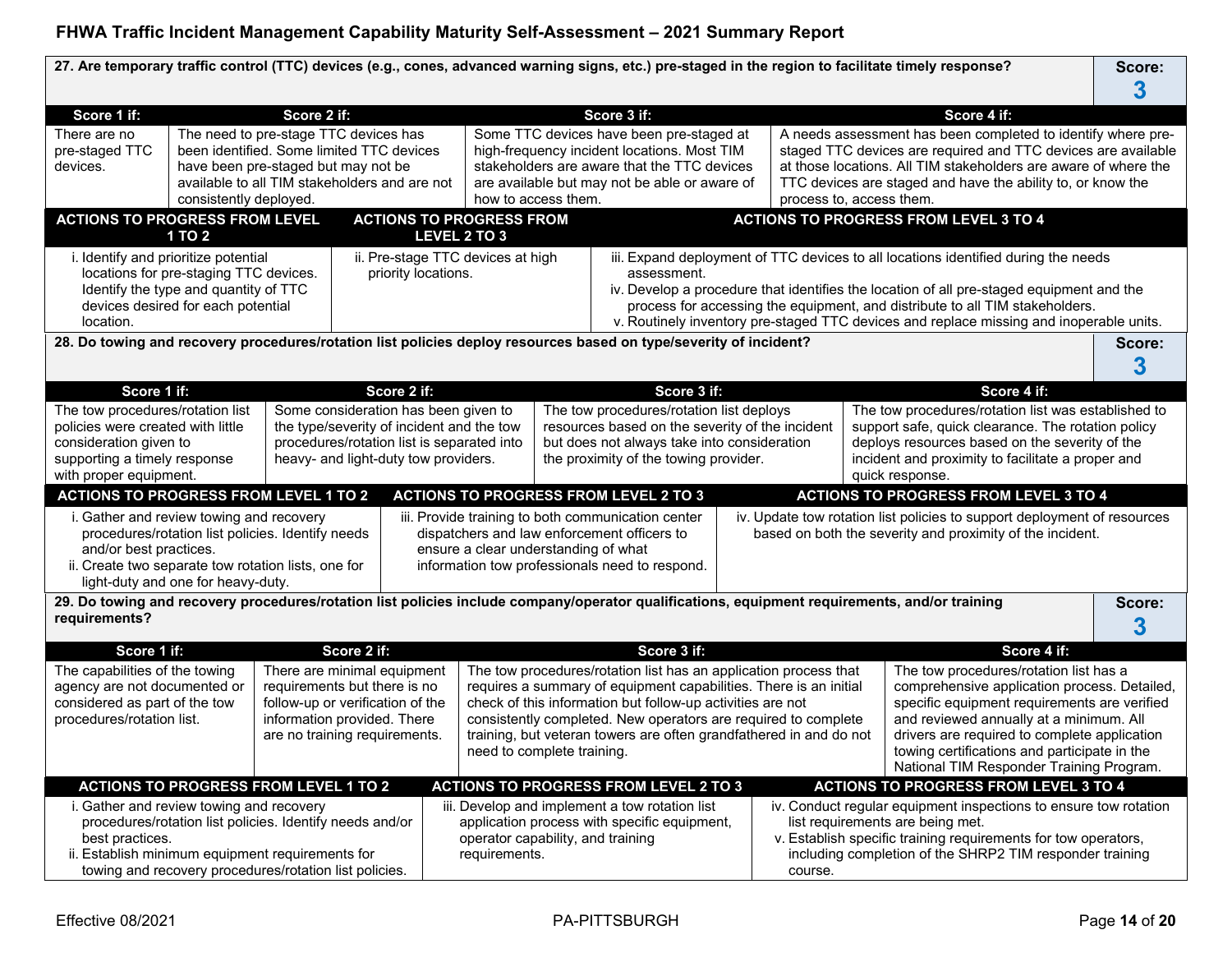|                                                                                                                                                                                                                                                                                                                                      |                                                                                                                                                                                                      |             |                                                                                                                                                                 |                                                                                                                                                                                                                                                                                                                                                                                                                            |                                                                                                                                                                                                                                            | 27. Are temporary traffic control (TTC) devices (e.g., cones, advanced warning signs, etc.) pre-staged in the region to facilitate timely response? |  |         |                                                                                                                                                                                                                                                                                                                                              |                                                                                                                                                                                                                                    |  | Score:      |
|--------------------------------------------------------------------------------------------------------------------------------------------------------------------------------------------------------------------------------------------------------------------------------------------------------------------------------------|------------------------------------------------------------------------------------------------------------------------------------------------------------------------------------------------------|-------------|-----------------------------------------------------------------------------------------------------------------------------------------------------------------|----------------------------------------------------------------------------------------------------------------------------------------------------------------------------------------------------------------------------------------------------------------------------------------------------------------------------------------------------------------------------------------------------------------------------|--------------------------------------------------------------------------------------------------------------------------------------------------------------------------------------------------------------------------------------------|-----------------------------------------------------------------------------------------------------------------------------------------------------|--|---------|----------------------------------------------------------------------------------------------------------------------------------------------------------------------------------------------------------------------------------------------------------------------------------------------------------------------------------------------|------------------------------------------------------------------------------------------------------------------------------------------------------------------------------------------------------------------------------------|--|-------------|
|                                                                                                                                                                                                                                                                                                                                      |                                                                                                                                                                                                      |             |                                                                                                                                                                 |                                                                                                                                                                                                                                                                                                                                                                                                                            |                                                                                                                                                                                                                                            |                                                                                                                                                     |  |         |                                                                                                                                                                                                                                                                                                                                              |                                                                                                                                                                                                                                    |  | 3           |
| Score 1 if:                                                                                                                                                                                                                                                                                                                          |                                                                                                                                                                                                      | Score 2 if: |                                                                                                                                                                 |                                                                                                                                                                                                                                                                                                                                                                                                                            |                                                                                                                                                                                                                                            | Score 3 if:                                                                                                                                         |  |         |                                                                                                                                                                                                                                                                                                                                              | Score 4 if:                                                                                                                                                                                                                        |  |             |
| There are no<br>pre-staged TTC<br>devices.                                                                                                                                                                                                                                                                                           | The need to pre-stage TTC devices has<br>been identified. Some limited TTC devices<br>have been pre-staged but may not be<br>available to all TIM stakeholders and are not<br>consistently deployed. |             |                                                                                                                                                                 |                                                                                                                                                                                                                                                                                                                                                                                                                            | Some TTC devices have been pre-staged at<br>high-frequency incident locations. Most TIM<br>stakeholders are aware that the TTC devices<br>are available but may not be able or aware of<br>how to access them.<br>process to, access them. |                                                                                                                                                     |  |         | A needs assessment has been completed to identify where pre-<br>staged TTC devices are required and TTC devices are available<br>at those locations. All TIM stakeholders are aware of where the<br>TTC devices are staged and have the ability to, or know the                                                                              |                                                                                                                                                                                                                                    |  |             |
| <b>ACTIONS TO PROGRESS FROM LEVEL</b>                                                                                                                                                                                                                                                                                                | 1 TO 2                                                                                                                                                                                               |             | <b>ACTIONS TO PROGRESS FROM</b>                                                                                                                                 | LEVEL 2 TO 3                                                                                                                                                                                                                                                                                                                                                                                                               |                                                                                                                                                                                                                                            |                                                                                                                                                     |  |         |                                                                                                                                                                                                                                                                                                                                              | <b>ACTIONS TO PROGRESS FROM LEVEL 3 TO 4</b>                                                                                                                                                                                       |  |             |
| i. Identify and prioritize potential<br>ii. Pre-stage TTC devices at high<br>locations for pre-staging TTC devices.<br>priority locations.<br>Identify the type and quantity of TTC<br>devices desired for each potential<br>location.                                                                                               |                                                                                                                                                                                                      |             |                                                                                                                                                                 | iii. Expand deployment of TTC devices to all locations identified during the needs<br>assessment.<br>iv. Develop a procedure that identifies the location of all pre-staged equipment and the<br>process for accessing the equipment, and distribute to all TIM stakeholders.<br>v. Routinely inventory pre-staged TTC devices and replace missing and inoperable units.                                                   |                                                                                                                                                                                                                                            |                                                                                                                                                     |  |         |                                                                                                                                                                                                                                                                                                                                              |                                                                                                                                                                                                                                    |  |             |
|                                                                                                                                                                                                                                                                                                                                      |                                                                                                                                                                                                      |             |                                                                                                                                                                 |                                                                                                                                                                                                                                                                                                                                                                                                                            |                                                                                                                                                                                                                                            | 28. Do towing and recovery procedures/rotation list policies deploy resources based on type/severity of incident?                                   |  |         |                                                                                                                                                                                                                                                                                                                                              |                                                                                                                                                                                                                                    |  | Score:<br>3 |
| Score 1 if:                                                                                                                                                                                                                                                                                                                          |                                                                                                                                                                                                      |             | Score 2 if:                                                                                                                                                     |                                                                                                                                                                                                                                                                                                                                                                                                                            |                                                                                                                                                                                                                                            | Score 3 if:                                                                                                                                         |  |         |                                                                                                                                                                                                                                                                                                                                              | Score 4 if:                                                                                                                                                                                                                        |  |             |
| The tow procedures/rotation list<br>Some consideration has been given to<br>policies were created with little<br>the type/severity of incident and the tow<br>consideration given to<br>procedures/rotation list is separated into<br>supporting a timely response<br>heavy- and light-duty tow providers.<br>with proper equipment. |                                                                                                                                                                                                      |             |                                                                                                                                                                 | The tow procedures/rotation list deploys<br>The tow procedures/rotation list was established to<br>resources based on the severity of the incident<br>support safe, quick clearance. The rotation policy<br>but does not always take into consideration<br>deploys resources based on the severity of the<br>the proximity of the towing provider.<br>incident and proximity to facilitate a proper and<br>quick response. |                                                                                                                                                                                                                                            |                                                                                                                                                     |  |         |                                                                                                                                                                                                                                                                                                                                              |                                                                                                                                                                                                                                    |  |             |
|                                                                                                                                                                                                                                                                                                                                      |                                                                                                                                                                                                      |             |                                                                                                                                                                 |                                                                                                                                                                                                                                                                                                                                                                                                                            |                                                                                                                                                                                                                                            | <b>ACTIONS TO PROGRESS FROM LEVEL 2 TO 3</b>                                                                                                        |  |         |                                                                                                                                                                                                                                                                                                                                              | <b>ACTIONS TO PROGRESS FROM LEVEL 3 TO 4</b>                                                                                                                                                                                       |  |             |
| <b>ACTIONS TO PROGRESS FROM LEVEL 1 TO 2</b><br>i. Gather and review towing and recovery<br>procedures/rotation list policies. Identify needs<br>and/or best practices.<br>ii. Create two separate tow rotation lists, one for<br>light-duty and one for heavy-duty.                                                                 |                                                                                                                                                                                                      |             |                                                                                                                                                                 | iii. Provide training to both communication center<br>iv. Update tow rotation list policies to support deployment of resources<br>dispatchers and law enforcement officers to<br>based on both the severity and proximity of the incident.<br>ensure a clear understanding of what<br>information tow professionals need to respond.                                                                                       |                                                                                                                                                                                                                                            |                                                                                                                                                     |  |         |                                                                                                                                                                                                                                                                                                                                              |                                                                                                                                                                                                                                    |  |             |
| requirements?                                                                                                                                                                                                                                                                                                                        |                                                                                                                                                                                                      |             |                                                                                                                                                                 |                                                                                                                                                                                                                                                                                                                                                                                                                            |                                                                                                                                                                                                                                            | 29. Do towing and recovery procedures/rotation list policies include company/operator qualifications, equipment requirements, and/or training       |  |         |                                                                                                                                                                                                                                                                                                                                              |                                                                                                                                                                                                                                    |  | Score:<br>3 |
| Score 1 if:                                                                                                                                                                                                                                                                                                                          |                                                                                                                                                                                                      |             | Score 2 if:                                                                                                                                                     |                                                                                                                                                                                                                                                                                                                                                                                                                            |                                                                                                                                                                                                                                            |                                                                                                                                                     |  |         |                                                                                                                                                                                                                                                                                                                                              |                                                                                                                                                                                                                                    |  |             |
| The capabilities of the towing<br>agency are not documented or<br>considered as part of the tow<br>procedures/rotation list.                                                                                                                                                                                                         |                                                                                                                                                                                                      |             | There are minimal equipment<br>requirements but there is no<br>follow-up or verification of the<br>information provided. There<br>are no training requirements. | Score 3 if:<br>The tow procedures/rotation list has an application process that<br>requires a summary of equipment capabilities. There is an initial<br>check of this information but follow-up activities are not<br>consistently completed. New operators are required to complete<br>training, but veteran towers are often grandfathered in and do not<br>need to complete training.                                   |                                                                                                                                                                                                                                            |                                                                                                                                                     |  |         | Score 4 if:<br>The tow procedures/rotation list has a<br>comprehensive application process. Detailed,<br>specific equipment requirements are verified<br>and reviewed annually at a minimum. All<br>drivers are required to complete application<br>towing certifications and participate in the<br>National TIM Responder Training Program. |                                                                                                                                                                                                                                    |  |             |
| <b>ACTIONS TO PROGRESS FROM LEVEL 1 TO 2</b>                                                                                                                                                                                                                                                                                         |                                                                                                                                                                                                      |             |                                                                                                                                                                 |                                                                                                                                                                                                                                                                                                                                                                                                                            |                                                                                                                                                                                                                                            | <b>ACTIONS TO PROGRESS FROM LEVEL 2 TO 3</b>                                                                                                        |  |         |                                                                                                                                                                                                                                                                                                                                              | <b>ACTIONS TO PROGRESS FROM LEVEL 3 TO 4</b>                                                                                                                                                                                       |  |             |
| i. Gather and review towing and recovery<br>procedures/rotation list policies. Identify needs and/or<br>best practices.<br>ii. Establish minimum equipment requirements for<br>towing and recovery procedures/rotation list policies.                                                                                                |                                                                                                                                                                                                      |             |                                                                                                                                                                 | operator capability, and training<br>requirements.                                                                                                                                                                                                                                                                                                                                                                         |                                                                                                                                                                                                                                            | iii. Develop and implement a tow rotation list<br>application process with specific equipment,                                                      |  | course. |                                                                                                                                                                                                                                                                                                                                              | iv. Conduct regular equipment inspections to ensure tow rotation<br>list requirements are being met.<br>v. Establish specific training requirements for tow operators,<br>including completion of the SHRP2 TIM responder training |  |             |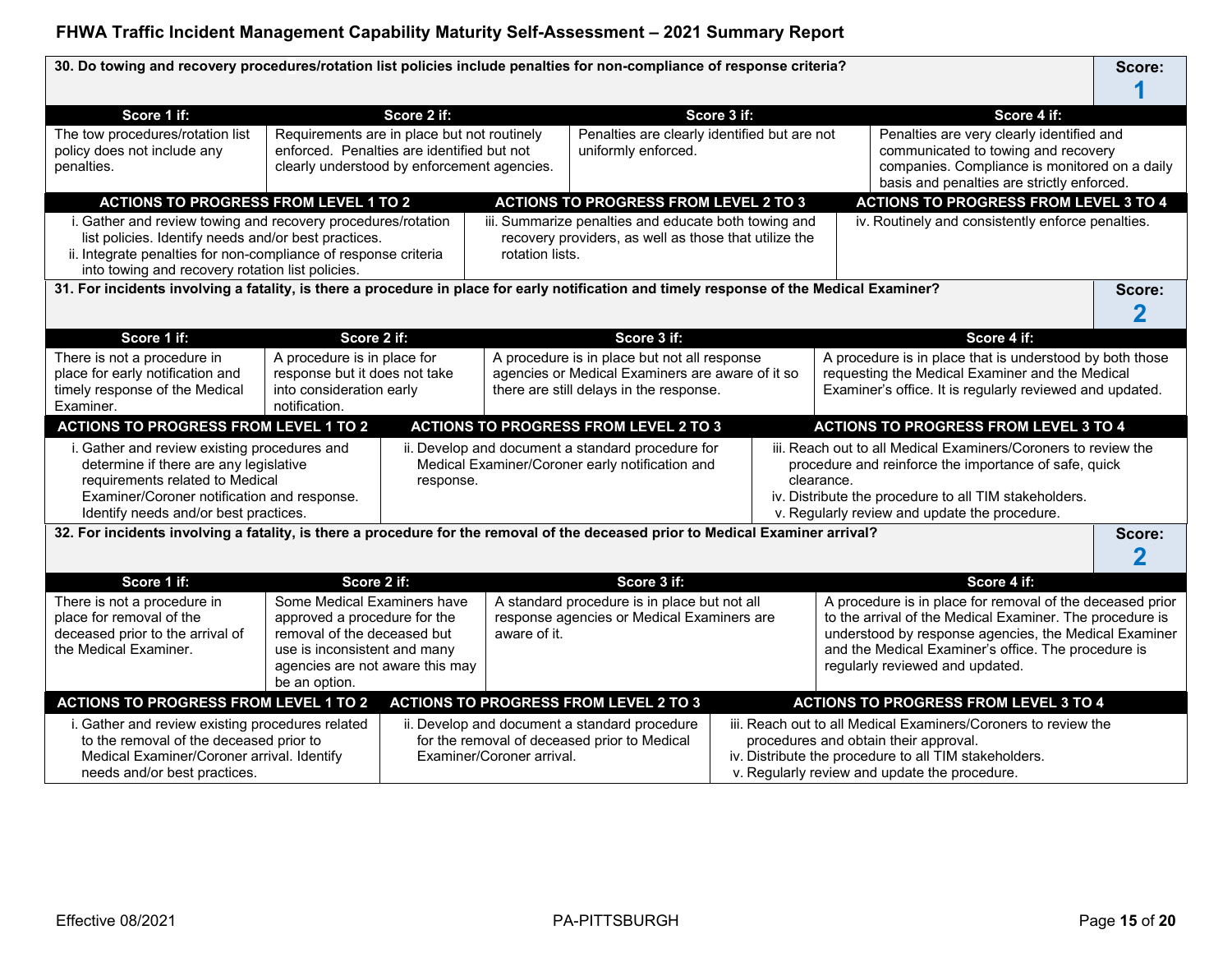**30. Do towing and recovery procedures/rotation list policies include penalties for non-compliance of response criteria? Score:**

| Score 1 if:                                                                                                                                                                                                                                 |                                                                                                                                                                                | Score 2 if: |                                                                                                                    |                                                                                                                                                                                                                                                        | Score 3 if: |                                                                                                                                                                                                                                   | Score 4 if:                                                                                                                                                                                                                                                              |        |  |
|---------------------------------------------------------------------------------------------------------------------------------------------------------------------------------------------------------------------------------------------|--------------------------------------------------------------------------------------------------------------------------------------------------------------------------------|-------------|--------------------------------------------------------------------------------------------------------------------|--------------------------------------------------------------------------------------------------------------------------------------------------------------------------------------------------------------------------------------------------------|-------------|-----------------------------------------------------------------------------------------------------------------------------------------------------------------------------------------------------------------------------------|--------------------------------------------------------------------------------------------------------------------------------------------------------------------------------------------------------------------------------------------------------------------------|--------|--|
| The tow procedures/rotation list<br>policy does not include any<br>penalties.                                                                                                                                                               | Requirements are in place but not routinely<br>enforced. Penalties are identified but not<br>clearly understood by enforcement agencies.                                       |             |                                                                                                                    | Penalties are clearly identified but are not<br>Penalties are very clearly identified and<br>uniformly enforced.<br>communicated to towing and recovery<br>companies. Compliance is monitored on a daily<br>basis and penalties are strictly enforced. |             |                                                                                                                                                                                                                                   |                                                                                                                                                                                                                                                                          |        |  |
| <b>ACTIONS TO PROGRESS FROM LEVEL 1 TO 2</b>                                                                                                                                                                                                |                                                                                                                                                                                |             |                                                                                                                    | <b>ACTIONS TO PROGRESS FROM LEVEL 2 TO 3</b>                                                                                                                                                                                                           |             |                                                                                                                                                                                                                                   | <b>ACTIONS TO PROGRESS FROM LEVEL 3 TO 4</b>                                                                                                                                                                                                                             |        |  |
| i. Gather and review towing and recovery procedures/rotation<br>list policies. Identify needs and/or best practices.<br>ii. Integrate penalties for non-compliance of response criteria<br>into towing and recovery rotation list policies. |                                                                                                                                                                                |             | rotation lists.                                                                                                    | iii. Summarize penalties and educate both towing and<br>recovery providers, as well as those that utilize the                                                                                                                                          |             |                                                                                                                                                                                                                                   | iv. Routinely and consistently enforce penalties.                                                                                                                                                                                                                        |        |  |
| 31. For incidents involving a fatality, is there a procedure in place for early notification and timely response of the Medical Examiner?                                                                                                   |                                                                                                                                                                                |             |                                                                                                                    |                                                                                                                                                                                                                                                        |             |                                                                                                                                                                                                                                   |                                                                                                                                                                                                                                                                          | Score: |  |
|                                                                                                                                                                                                                                             |                                                                                                                                                                                |             |                                                                                                                    |                                                                                                                                                                                                                                                        |             |                                                                                                                                                                                                                                   |                                                                                                                                                                                                                                                                          | 2      |  |
| Score 1 if:                                                                                                                                                                                                                                 | Score 2 if:                                                                                                                                                                    |             |                                                                                                                    | Score 3 if:                                                                                                                                                                                                                                            |             |                                                                                                                                                                                                                                   | Score 4 if:                                                                                                                                                                                                                                                              |        |  |
| There is not a procedure in                                                                                                                                                                                                                 | A procedure is in place for                                                                                                                                                    |             |                                                                                                                    | A procedure is in place but not all response                                                                                                                                                                                                           |             |                                                                                                                                                                                                                                   | A procedure is in place that is understood by both those                                                                                                                                                                                                                 |        |  |
| place for early notification and                                                                                                                                                                                                            | response but it does not take                                                                                                                                                  |             |                                                                                                                    | agencies or Medical Examiners are aware of it so                                                                                                                                                                                                       |             |                                                                                                                                                                                                                                   | requesting the Medical Examiner and the Medical                                                                                                                                                                                                                          |        |  |
| timely response of the Medical                                                                                                                                                                                                              | into consideration early                                                                                                                                                       |             | there are still delays in the response.                                                                            |                                                                                                                                                                                                                                                        |             |                                                                                                                                                                                                                                   | Examiner's office. It is regularly reviewed and updated.                                                                                                                                                                                                                 |        |  |
| Examiner.                                                                                                                                                                                                                                   | notification.                                                                                                                                                                  |             |                                                                                                                    |                                                                                                                                                                                                                                                        |             |                                                                                                                                                                                                                                   |                                                                                                                                                                                                                                                                          |        |  |
| <b>ACTIONS TO PROGRESS FROM LEVEL 1 TO 2</b>                                                                                                                                                                                                |                                                                                                                                                                                |             |                                                                                                                    | <b>ACTIONS TO PROGRESS FROM LEVEL 2 TO 3</b>                                                                                                                                                                                                           |             |                                                                                                                                                                                                                                   | <b>ACTIONS TO PROGRESS FROM LEVEL 3 TO 4</b>                                                                                                                                                                                                                             |        |  |
| i. Gather and review existing procedures and<br>determine if there are any legislative<br>requirements related to Medical<br>Examiner/Coroner notification and response.<br>Identify needs and/or best practices.                           |                                                                                                                                                                                | response.   | ii. Develop and document a standard procedure for<br>Medical Examiner/Coroner early notification and<br>clearance. |                                                                                                                                                                                                                                                        |             | iii. Reach out to all Medical Examiners/Coroners to review the<br>procedure and reinforce the importance of safe, quick<br>iv. Distribute the procedure to all TIM stakeholders.<br>v. Regularly review and update the procedure. |                                                                                                                                                                                                                                                                          |        |  |
| 32. For incidents involving a fatality, is there a procedure for the removal of the deceased prior to Medical Examiner arrival?                                                                                                             |                                                                                                                                                                                |             |                                                                                                                    |                                                                                                                                                                                                                                                        |             |                                                                                                                                                                                                                                   |                                                                                                                                                                                                                                                                          | Score: |  |
|                                                                                                                                                                                                                                             |                                                                                                                                                                                |             |                                                                                                                    |                                                                                                                                                                                                                                                        |             |                                                                                                                                                                                                                                   |                                                                                                                                                                                                                                                                          | 2      |  |
| Score 1 if:                                                                                                                                                                                                                                 | Score 2 if:                                                                                                                                                                    |             |                                                                                                                    | Score 3 if:                                                                                                                                                                                                                                            |             |                                                                                                                                                                                                                                   | Score 4 if:                                                                                                                                                                                                                                                              |        |  |
| There is not a procedure in<br>place for removal of the<br>deceased prior to the arrival of<br>the Medical Examiner.                                                                                                                        | Some Medical Examiners have<br>approved a procedure for the<br>removal of the deceased but<br>use is inconsistent and many<br>agencies are not aware this may<br>be an option. |             | aware of it.                                                                                                       | A standard procedure is in place but not all<br>response agencies or Medical Examiners are                                                                                                                                                             |             |                                                                                                                                                                                                                                   | A procedure is in place for removal of the deceased prior<br>to the arrival of the Medical Examiner. The procedure is<br>understood by response agencies, the Medical Examiner<br>and the Medical Examiner's office. The procedure is<br>regularly reviewed and updated. |        |  |
| <b>ACTIONS TO PROGRESS FROM LEVEL 1 TO 2</b>                                                                                                                                                                                                |                                                                                                                                                                                |             |                                                                                                                    | <b>ACTIONS TO PROGRESS FROM LEVEL 2 TO 3</b>                                                                                                                                                                                                           |             |                                                                                                                                                                                                                                   | <b>ACTIONS TO PROGRESS FROM LEVEL 3 TO 4</b>                                                                                                                                                                                                                             |        |  |
| i. Gather and review existing procedures related<br>to the removal of the deceased prior to<br>Medical Examiner/Coroner arrival. Identify<br>needs and/or best practices.                                                                   |                                                                                                                                                                                |             | Examiner/Coroner arrival.                                                                                          | ii. Develop and document a standard procedure<br>for the removal of deceased prior to Medical                                                                                                                                                          |             |                                                                                                                                                                                                                                   | iii. Reach out to all Medical Examiners/Coroners to review the<br>procedures and obtain their approval.<br>iv. Distribute the procedure to all TIM stakeholders.<br>v. Regularly review and update the procedure.                                                        |        |  |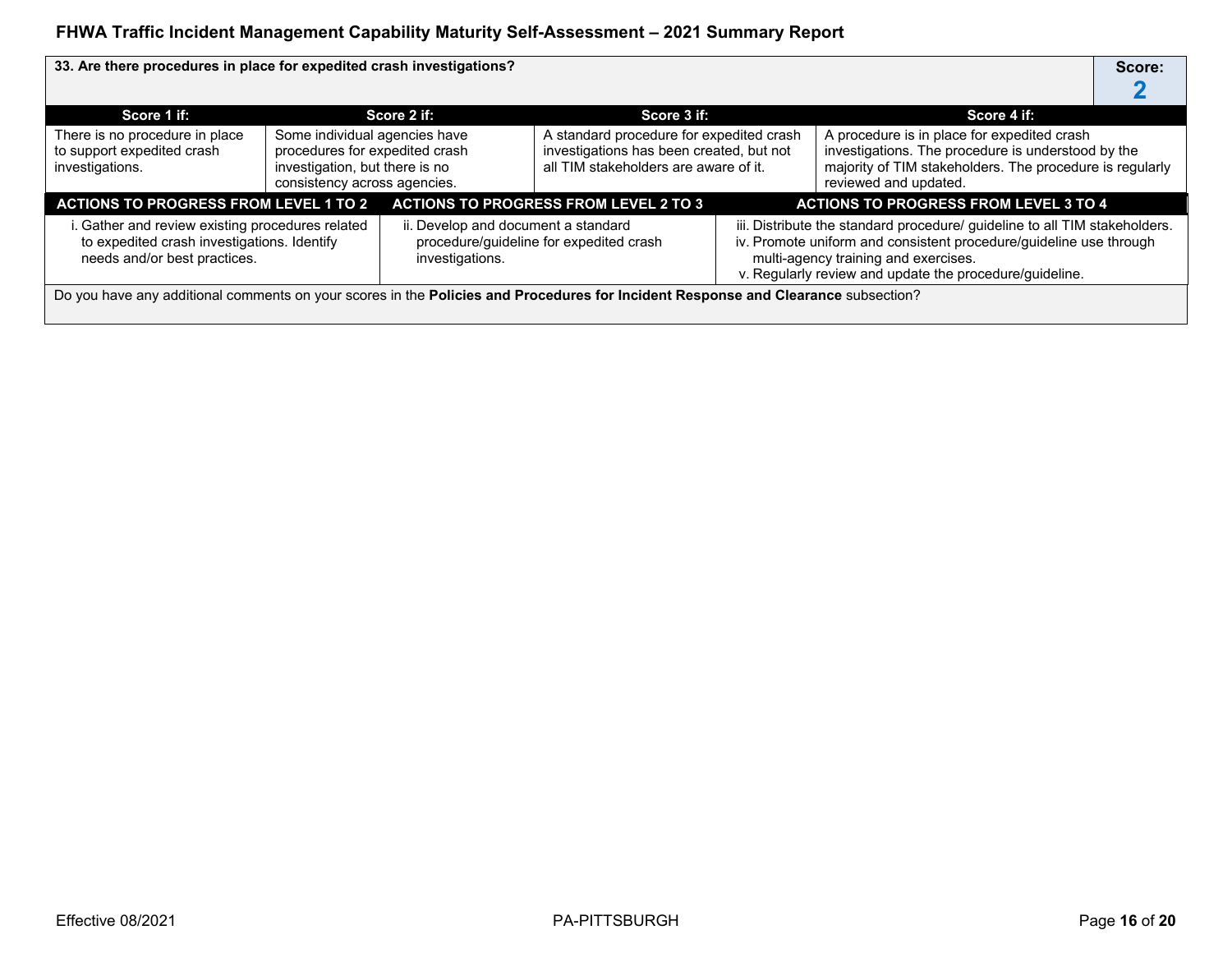| 33. Are there procedures in place for expedited crash investigations?                                                                                                                     |                                                                                                                                   |                                         |                                                                                                                               |                                                                                                                                                                                                                                                     |                                                                                                                                                                                        | Score: |
|-------------------------------------------------------------------------------------------------------------------------------------------------------------------------------------------|-----------------------------------------------------------------------------------------------------------------------------------|-----------------------------------------|-------------------------------------------------------------------------------------------------------------------------------|-----------------------------------------------------------------------------------------------------------------------------------------------------------------------------------------------------------------------------------------------------|----------------------------------------------------------------------------------------------------------------------------------------------------------------------------------------|--------|
| Score 1 if:                                                                                                                                                                               |                                                                                                                                   | Score 2 if:                             | Score 3 if:                                                                                                                   |                                                                                                                                                                                                                                                     | Score 4 if:                                                                                                                                                                            |        |
| There is no procedure in place<br>to support expedited crash<br>investigations.                                                                                                           | Some individual agencies have<br>procedures for expedited crash<br>investigation, but there is no<br>consistency across agencies. |                                         | A standard procedure for expedited crash<br>investigations has been created, but not<br>all TIM stakeholders are aware of it. |                                                                                                                                                                                                                                                     | A procedure is in place for expedited crash<br>investigations. The procedure is understood by the<br>majority of TIM stakeholders. The procedure is regularly<br>reviewed and updated. |        |
| <b>ACTIONS TO PROGRESS FROM LEVEL 1 TO 2</b>                                                                                                                                              |                                                                                                                                   |                                         | <b>ACTIONS TO PROGRESS FROM LEVEL 2 TO 3</b>                                                                                  |                                                                                                                                                                                                                                                     | <b>ACTIONS TO PROGRESS FROM LEVEL 3 TO 4</b>                                                                                                                                           |        |
| i. Gather and review existing procedures related<br>ii. Develop and document a standard<br>to expedited crash investigations. Identify<br>needs and/or best practices.<br>investigations. |                                                                                                                                   | procedure/guideline for expedited crash |                                                                                                                               | iii. Distribute the standard procedure/ guideline to all TIM stakeholders.<br>iv. Promote uniform and consistent procedure/guideline use through<br>multi-agency training and exercises.<br>v. Regularly review and update the procedure/guideline. |                                                                                                                                                                                        |        |
| Do you have any additional comments on your scores in the Policies and Procedures for Incident Response and Clearance subsection?                                                         |                                                                                                                                   |                                         |                                                                                                                               |                                                                                                                                                                                                                                                     |                                                                                                                                                                                        |        |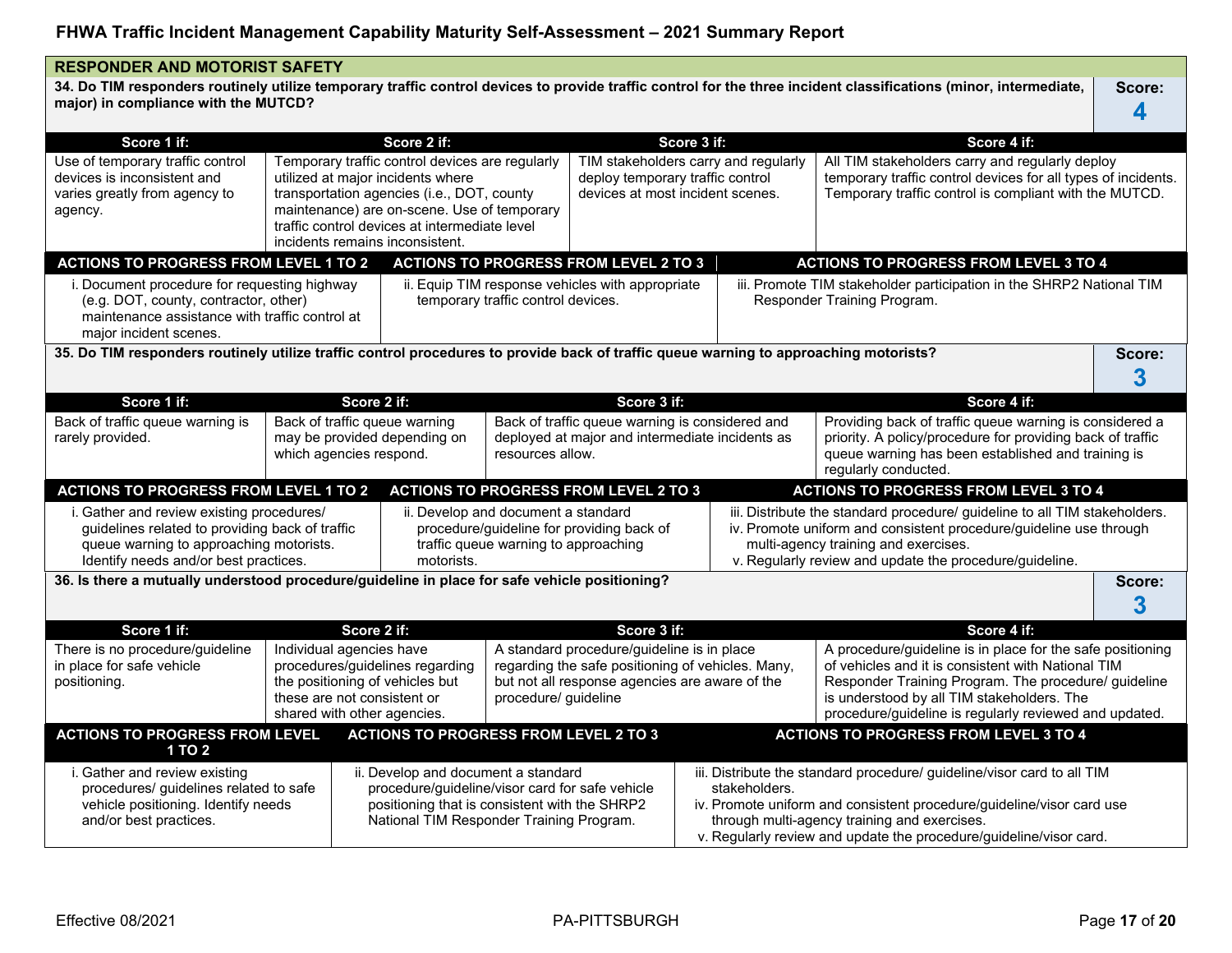| <b>RESPONDER AND MOTORIST SAFETY</b>                                                                                                                                             |                                                                                                                                                                                                                         |                                                                                                                                                                                                                                                                       |                                                                                                                                              |                                                                                                                                                                           |                                                                                                                                                                                                                                                                                         |  |                                                                                                                                                                                                                                                                                  |             |
|----------------------------------------------------------------------------------------------------------------------------------------------------------------------------------|-------------------------------------------------------------------------------------------------------------------------------------------------------------------------------------------------------------------------|-----------------------------------------------------------------------------------------------------------------------------------------------------------------------------------------------------------------------------------------------------------------------|----------------------------------------------------------------------------------------------------------------------------------------------|---------------------------------------------------------------------------------------------------------------------------------------------------------------------------|-----------------------------------------------------------------------------------------------------------------------------------------------------------------------------------------------------------------------------------------------------------------------------------------|--|----------------------------------------------------------------------------------------------------------------------------------------------------------------------------------------------------------------------------------------------------------------------------------|-------------|
| major) in compliance with the MUTCD?                                                                                                                                             |                                                                                                                                                                                                                         |                                                                                                                                                                                                                                                                       |                                                                                                                                              |                                                                                                                                                                           |                                                                                                                                                                                                                                                                                         |  | 34. Do TIM responders routinely utilize temporary traffic control devices to provide traffic control for the three incident classifications (minor, intermediate,                                                                                                                | Score:<br>4 |
| Score 1 if:                                                                                                                                                                      |                                                                                                                                                                                                                         | Score 2 if:                                                                                                                                                                                                                                                           |                                                                                                                                              |                                                                                                                                                                           | Score 3 if:                                                                                                                                                                                                                                                                             |  | Score 4 if:                                                                                                                                                                                                                                                                      |             |
| Use of temporary traffic control<br>devices is inconsistent and<br>varies greatly from agency to<br>agency.                                                                      |                                                                                                                                                                                                                         | Temporary traffic control devices are regularly<br>utilized at major incidents where<br>transportation agencies (i.e., DOT, county<br>maintenance) are on-scene. Use of temporary<br>traffic control devices at intermediate level<br>incidents remains inconsistent. |                                                                                                                                              | TIM stakeholders carry and regularly<br>deploy temporary traffic control<br>devices at most incident scenes.                                                              |                                                                                                                                                                                                                                                                                         |  | All TIM stakeholders carry and regularly deploy<br>temporary traffic control devices for all types of incidents.<br>Temporary traffic control is compliant with the MUTCD.                                                                                                       |             |
| <b>ACTIONS TO PROGRESS FROM LEVEL 1 TO 2</b>                                                                                                                                     |                                                                                                                                                                                                                         |                                                                                                                                                                                                                                                                       |                                                                                                                                              | <b>ACTIONS TO PROGRESS FROM LEVEL 2 TO 3</b>                                                                                                                              |                                                                                                                                                                                                                                                                                         |  | <b>ACTIONS TO PROGRESS FROM LEVEL 3 TO 4</b>                                                                                                                                                                                                                                     |             |
| i. Document procedure for requesting highway<br>(e.g. DOT, county, contractor, other)<br>maintenance assistance with traffic control at<br>major incident scenes.                |                                                                                                                                                                                                                         |                                                                                                                                                                                                                                                                       | temporary traffic control devices.                                                                                                           | ii. Equip TIM response vehicles with appropriate                                                                                                                          |                                                                                                                                                                                                                                                                                         |  | iii. Promote TIM stakeholder participation in the SHRP2 National TIM<br>Responder Training Program.                                                                                                                                                                              |             |
| 35. Do TIM responders routinely utilize traffic control procedures to provide back of traffic queue warning to approaching motorists?                                            |                                                                                                                                                                                                                         |                                                                                                                                                                                                                                                                       |                                                                                                                                              |                                                                                                                                                                           |                                                                                                                                                                                                                                                                                         |  |                                                                                                                                                                                                                                                                                  | Score:<br>3 |
| Score 1 if:                                                                                                                                                                      |                                                                                                                                                                                                                         | Score 2 if:                                                                                                                                                                                                                                                           |                                                                                                                                              | Score 3 if:                                                                                                                                                               |                                                                                                                                                                                                                                                                                         |  | Score 4 if:                                                                                                                                                                                                                                                                      |             |
| Back of traffic queue warning is<br>rarely provided.                                                                                                                             | Back of traffic queue warning<br>may be provided depending on<br>which agencies respond.                                                                                                                                |                                                                                                                                                                                                                                                                       |                                                                                                                                              | Back of traffic queue warning is considered and<br>deployed at major and intermediate incidents as<br>resources allow.                                                    |                                                                                                                                                                                                                                                                                         |  | Providing back of traffic queue warning is considered a<br>priority. A policy/procedure for providing back of traffic<br>queue warning has been established and training is<br>regularly conducted.                                                                              |             |
| <b>ACTIONS TO PROGRESS FROM LEVEL 1 TO 2</b>                                                                                                                                     |                                                                                                                                                                                                                         |                                                                                                                                                                                                                                                                       |                                                                                                                                              | <b>ACTIONS TO PROGRESS FROM LEVEL 2 TO 3</b>                                                                                                                              |                                                                                                                                                                                                                                                                                         |  | <b>ACTIONS TO PROGRESS FROM LEVEL 3 TO 4</b>                                                                                                                                                                                                                                     |             |
| i. Gather and review existing procedures/<br>guidelines related to providing back of traffic<br>queue warning to approaching motorists.<br>Identify needs and/or best practices. |                                                                                                                                                                                                                         | motorists.                                                                                                                                                                                                                                                            | ii. Develop and document a standard<br>traffic queue warning to approaching                                                                  | procedure/guideline for providing back of                                                                                                                                 |                                                                                                                                                                                                                                                                                         |  | iii. Distribute the standard procedure/ guideline to all TIM stakeholders.<br>iv. Promote uniform and consistent procedure/guideline use through<br>multi-agency training and exercises.<br>v. Regularly review and update the procedure/guideline.                              |             |
| 36. Is there a mutually understood procedure/guideline in place for safe vehicle positioning?                                                                                    |                                                                                                                                                                                                                         |                                                                                                                                                                                                                                                                       |                                                                                                                                              |                                                                                                                                                                           |                                                                                                                                                                                                                                                                                         |  |                                                                                                                                                                                                                                                                                  | Score:<br>3 |
| Score 1 if:                                                                                                                                                                      |                                                                                                                                                                                                                         | Score 2 if:                                                                                                                                                                                                                                                           |                                                                                                                                              | Score 3 if:                                                                                                                                                               |                                                                                                                                                                                                                                                                                         |  | Score 4 if:                                                                                                                                                                                                                                                                      |             |
| There is no procedure/guideline<br>in place for safe vehicle<br>positioning.                                                                                                     | Individual agencies have<br>procedures/guidelines regarding<br>the positioning of vehicles but<br>these are not consistent or<br>shared with other agencies.                                                            |                                                                                                                                                                                                                                                                       |                                                                                                                                              | A standard procedure/guideline is in place<br>regarding the safe positioning of vehicles. Many,<br>but not all response agencies are aware of the<br>procedure/ guideline |                                                                                                                                                                                                                                                                                         |  | A procedure/guideline is in place for the safe positioning<br>of vehicles and it is consistent with National TIM<br>Responder Training Program. The procedure/ guideline<br>is understood by all TIM stakeholders. The<br>procedure/guideline is regularly reviewed and updated. |             |
|                                                                                                                                                                                  |                                                                                                                                                                                                                         |                                                                                                                                                                                                                                                                       |                                                                                                                                              |                                                                                                                                                                           |                                                                                                                                                                                                                                                                                         |  | <b>ACTIONS TO PROGRESS FROM LEVEL 3 TO 4</b>                                                                                                                                                                                                                                     |             |
| i. Gather and review existing<br>and/or best practices.                                                                                                                          | <b>ACTIONS TO PROGRESS FROM LEVEL 2 TO 3</b><br><b>ACTIONS TO PROGRESS FROM LEVEL</b><br>1 TO 2<br>ii. Develop and document a standard<br>procedures/ quidelines related to safe<br>vehicle positioning. Identify needs |                                                                                                                                                                                                                                                                       | procedure/guideline/visor card for safe vehicle<br>positioning that is consistent with the SHRP2<br>National TIM Responder Training Program. |                                                                                                                                                                           | iii. Distribute the standard procedure/ guideline/visor card to all TIM<br>stakeholders.<br>iv. Promote uniform and consistent procedure/guideline/visor card use<br>through multi-agency training and exercises.<br>v. Regularly review and update the procedure/guideline/visor card. |  |                                                                                                                                                                                                                                                                                  |             |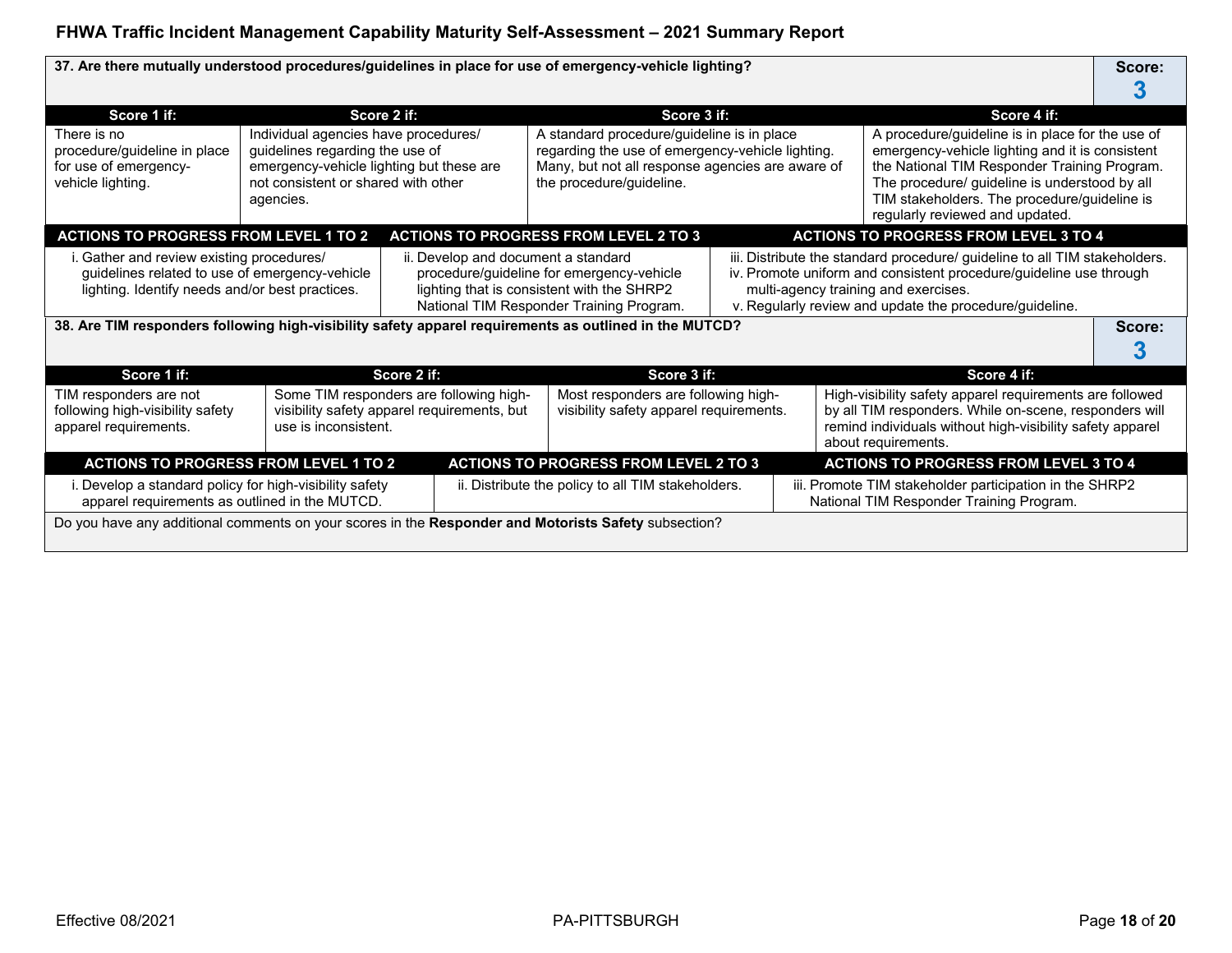### **37. Are there mutually understood procedures/guidelines in place for use of emergency-vehicle lighting? Score:**

| Score 1 if:                                                                                                                                                                           |                                                                                                                                                                         | Score 2 if:                                                                            | Score 3 if:                                                                                                                                                                    |  | Score 4 if:                                                                                                                                                                                                                                                                             |        |
|---------------------------------------------------------------------------------------------------------------------------------------------------------------------------------------|-------------------------------------------------------------------------------------------------------------------------------------------------------------------------|----------------------------------------------------------------------------------------|--------------------------------------------------------------------------------------------------------------------------------------------------------------------------------|--|-----------------------------------------------------------------------------------------------------------------------------------------------------------------------------------------------------------------------------------------------------------------------------------------|--------|
| There is no<br>procedure/guideline in place<br>for use of emergency-<br>vehicle lighting.                                                                                             | Individual agencies have procedures/<br>guidelines regarding the use of<br>emergency-vehicle lighting but these are<br>not consistent or shared with other<br>agencies. |                                                                                        | A standard procedure/guideline is in place<br>regarding the use of emergency-vehicle lighting.<br>Many, but not all response agencies are aware of<br>the procedure/guideline. |  | A procedure/guideline is in place for the use of<br>emergency-vehicle lighting and it is consistent<br>the National TIM Responder Training Program.<br>The procedure/ guideline is understood by all<br>TIM stakeholders. The procedure/guideline is<br>regularly reviewed and updated. |        |
| <b>ACTIONS TO PROGRESS FROM LEVEL 1 TO 2</b>                                                                                                                                          |                                                                                                                                                                         |                                                                                        | <b>ACTIONS TO PROGRESS FROM LEVEL 2 TO 3</b>                                                                                                                                   |  | <b>ACTIONS TO PROGRESS FROM LEVEL 3 TO 4</b>                                                                                                                                                                                                                                            |        |
| i. Gather and review existing procedures/<br>ii. Develop and document a standard<br>guidelines related to use of emergency-vehicle<br>lighting. Identify needs and/or best practices. |                                                                                                                                                                         |                                                                                        | procedure/guideline for emergency-vehicle<br>lighting that is consistent with the SHRP2<br>National TIM Responder Training Program.                                            |  | iii. Distribute the standard procedure/ guideline to all TIM stakeholders.<br>iv. Promote uniform and consistent procedure/guideline use through<br>multi-agency training and exercises.<br>v. Regularly review and update the procedure/guideline.                                     |        |
| 38. Are TIM responders following high-visibility safety apparel requirements as outlined in the MUTCD?                                                                                |                                                                                                                                                                         |                                                                                        |                                                                                                                                                                                |  |                                                                                                                                                                                                                                                                                         | Score: |
| Score 1 if:                                                                                                                                                                           |                                                                                                                                                                         | Score 2 if:                                                                            | Score 3 if:                                                                                                                                                                    |  | Score 4 if:                                                                                                                                                                                                                                                                             |        |
| TIM responders are not<br>following high-visibility safety<br>apparel requirements.                                                                                                   | use is inconsistent.                                                                                                                                                    | Some TIM responders are following high-<br>visibility safety apparel requirements, but | Most responders are following high-<br>visibility safety apparel requirements.                                                                                                 |  | High-visibility safety apparel requirements are followed<br>by all TIM responders. While on-scene, responders will<br>remind individuals without high-visibility safety apparel<br>about requirements.                                                                                  |        |
| <b>ACTIONS TO PROGRESS FROM LEVEL 1 TO 2</b>                                                                                                                                          |                                                                                                                                                                         |                                                                                        | <b>ACTIONS TO PROGRESS FROM LEVEL 2 TO 3</b>                                                                                                                                   |  | <b>ACTIONS TO PROGRESS FROM LEVEL 3 TO 4</b>                                                                                                                                                                                                                                            |        |
| i. Develop a standard policy for high-visibility safety<br>apparel requirements as outlined in the MUTCD.                                                                             |                                                                                                                                                                         |                                                                                        | ii. Distribute the policy to all TIM stakeholders.                                                                                                                             |  | iii. Promote TIM stakeholder participation in the SHRP2                                                                                                                                                                                                                                 |        |
|                                                                                                                                                                                       |                                                                                                                                                                         |                                                                                        |                                                                                                                                                                                |  | National TIM Responder Training Program.                                                                                                                                                                                                                                                |        |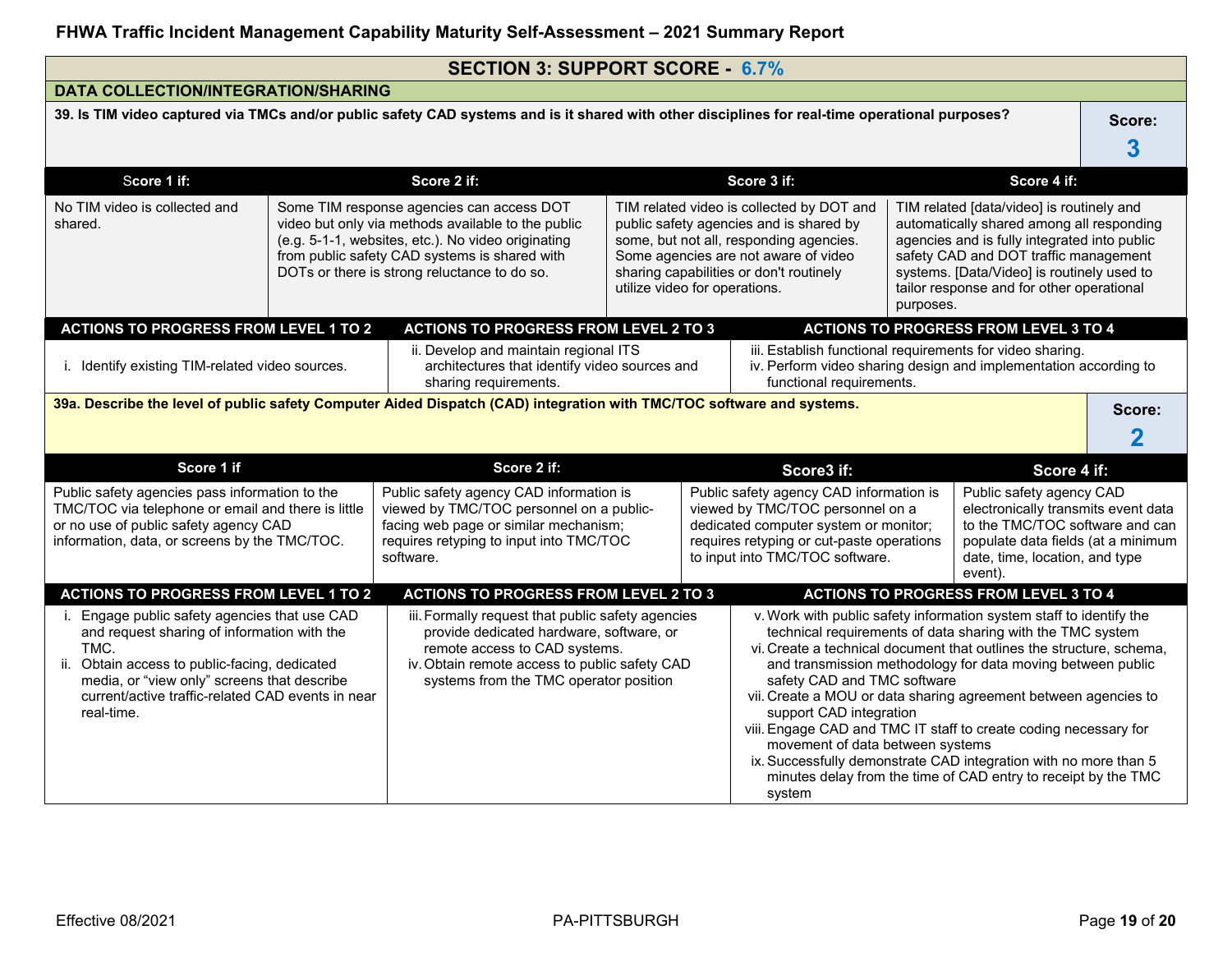|                                                                                                                                                                                                                                                                            |                                                                                                                                                                                                                                                        | <b>SECTION 3: SUPPORT SCORE - 6.7%</b>                                                                                                                                                                                                              |  |                                                                                                                                                                                                                                                                                                                                                                                                                                                                |             |                                                                                                                                                                                                                                                                            |                                                                                                                                                                                       |             |
|----------------------------------------------------------------------------------------------------------------------------------------------------------------------------------------------------------------------------------------------------------------------------|--------------------------------------------------------------------------------------------------------------------------------------------------------------------------------------------------------------------------------------------------------|-----------------------------------------------------------------------------------------------------------------------------------------------------------------------------------------------------------------------------------------------------|--|----------------------------------------------------------------------------------------------------------------------------------------------------------------------------------------------------------------------------------------------------------------------------------------------------------------------------------------------------------------------------------------------------------------------------------------------------------------|-------------|----------------------------------------------------------------------------------------------------------------------------------------------------------------------------------------------------------------------------------------------------------------------------|---------------------------------------------------------------------------------------------------------------------------------------------------------------------------------------|-------------|
| <b>DATA COLLECTION/INTEGRATION/SHARING</b>                                                                                                                                                                                                                                 |                                                                                                                                                                                                                                                        |                                                                                                                                                                                                                                                     |  |                                                                                                                                                                                                                                                                                                                                                                                                                                                                |             |                                                                                                                                                                                                                                                                            |                                                                                                                                                                                       |             |
|                                                                                                                                                                                                                                                                            |                                                                                                                                                                                                                                                        | 39. Is TIM video captured via TMCs and/or public safety CAD systems and is it shared with other disciplines for real-time operational purposes?                                                                                                     |  |                                                                                                                                                                                                                                                                                                                                                                                                                                                                |             |                                                                                                                                                                                                                                                                            |                                                                                                                                                                                       | Score:<br>3 |
| Score 1 if:                                                                                                                                                                                                                                                                |                                                                                                                                                                                                                                                        | Score 2 if:                                                                                                                                                                                                                                         |  |                                                                                                                                                                                                                                                                                                                                                                                                                                                                | Score 3 if: |                                                                                                                                                                                                                                                                            | Score 4 if:                                                                                                                                                                           |             |
| No TIM video is collected and<br>shared.                                                                                                                                                                                                                                   | Some TIM response agencies can access DOT<br>video but only via methods available to the public<br>(e.g. 5-1-1, websites, etc.). No video originating<br>from public safety CAD systems is shared with<br>DOTs or there is strong reluctance to do so. | TIM related video is collected by DOT and<br>public safety agencies and is shared by<br>some, but not all, responding agencies.<br>Some agencies are not aware of video<br>sharing capabilities or don't routinely<br>utilize video for operations. |  |                                                                                                                                                                                                                                                                                                                                                                                                                                                                | purposes.   | TIM related [data/video] is routinely and<br>automatically shared among all responding<br>agencies and is fully integrated into public<br>safety CAD and DOT traffic management<br>systems. [Data/Video] is routinely used to<br>tailor response and for other operational |                                                                                                                                                                                       |             |
| <b>ACTIONS TO PROGRESS FROM LEVEL 1 TO 2</b>                                                                                                                                                                                                                               |                                                                                                                                                                                                                                                        | <b>ACTIONS TO PROGRESS FROM LEVEL 2 TO 3</b>                                                                                                                                                                                                        |  |                                                                                                                                                                                                                                                                                                                                                                                                                                                                |             |                                                                                                                                                                                                                                                                            | <b>ACTIONS TO PROGRESS FROM LEVEL 3 TO 4</b>                                                                                                                                          |             |
| i. Identify existing TIM-related video sources.                                                                                                                                                                                                                            |                                                                                                                                                                                                                                                        | ii. Develop and maintain regional ITS<br>architectures that identify video sources and<br>sharing requirements.                                                                                                                                     |  | iii. Establish functional requirements for video sharing.<br>functional requirements.                                                                                                                                                                                                                                                                                                                                                                          |             |                                                                                                                                                                                                                                                                            | iv. Perform video sharing design and implementation according to                                                                                                                      |             |
|                                                                                                                                                                                                                                                                            |                                                                                                                                                                                                                                                        | 39a. Describe the level of public safety Computer Aided Dispatch (CAD) integration with TMC/TOC software and systems.                                                                                                                               |  |                                                                                                                                                                                                                                                                                                                                                                                                                                                                |             |                                                                                                                                                                                                                                                                            |                                                                                                                                                                                       | Score:      |
| Score 1 if                                                                                                                                                                                                                                                                 |                                                                                                                                                                                                                                                        | Score 2 if:                                                                                                                                                                                                                                         |  |                                                                                                                                                                                                                                                                                                                                                                                                                                                                | Score3 if:  |                                                                                                                                                                                                                                                                            | Score 4 if:                                                                                                                                                                           |             |
| Public safety agencies pass information to the<br>TMC/TOC via telephone or email and there is little<br>or no use of public safety agency CAD<br>information, data, or screens by the TMC/TOC.                                                                             |                                                                                                                                                                                                                                                        | Public safety agency CAD information is<br>viewed by TMC/TOC personnel on a public-<br>facing web page or similar mechanism;<br>requires retyping to input into TMC/TOC<br>software.                                                                |  | Public safety agency CAD information is<br>viewed by TMC/TOC personnel on a<br>dedicated computer system or monitor;<br>requires retyping or cut-paste operations<br>to input into TMC/TOC software.                                                                                                                                                                                                                                                           |             |                                                                                                                                                                                                                                                                            | Public safety agency CAD<br>electronically transmits event data<br>to the TMC/TOC software and can<br>populate data fields (at a minimum<br>date, time, location, and type<br>event). |             |
| <b>ACTIONS TO PROGRESS FROM LEVEL 1 TO 2</b>                                                                                                                                                                                                                               |                                                                                                                                                                                                                                                        | <b>ACTIONS TO PROGRESS FROM LEVEL 2 TO 3</b>                                                                                                                                                                                                        |  |                                                                                                                                                                                                                                                                                                                                                                                                                                                                |             |                                                                                                                                                                                                                                                                            | <b>ACTIONS TO PROGRESS FROM LEVEL 3 TO 4</b>                                                                                                                                          |             |
| i. Engage public safety agencies that use CAD<br>and request sharing of information with the<br>TMC.<br>Obtain access to public-facing, dedicated<br>ii.<br>media, or "view only" screens that describe<br>current/active traffic-related CAD events in near<br>real-time. | iii. Formally request that public safety agencies<br>provide dedicated hardware, software, or<br>remote access to CAD systems.<br>iv. Obtain remote access to public safety CAD<br>systems from the TMC operator position                              |                                                                                                                                                                                                                                                     |  | v. Work with public safety information system staff to identify the<br>vi. Create a technical document that outlines the structure, schema,<br>safety CAD and TMC software<br>vii. Create a MOU or data sharing agreement between agencies to<br>support CAD integration<br>viii. Engage CAD and TMC IT staff to create coding necessary for<br>movement of data between systems<br>ix. Successfully demonstrate CAD integration with no more than 5<br>system |             | technical requirements of data sharing with the TMC system<br>and transmission methodology for data moving between public<br>minutes delay from the time of CAD entry to receipt by the TMC                                                                                |                                                                                                                                                                                       |             |